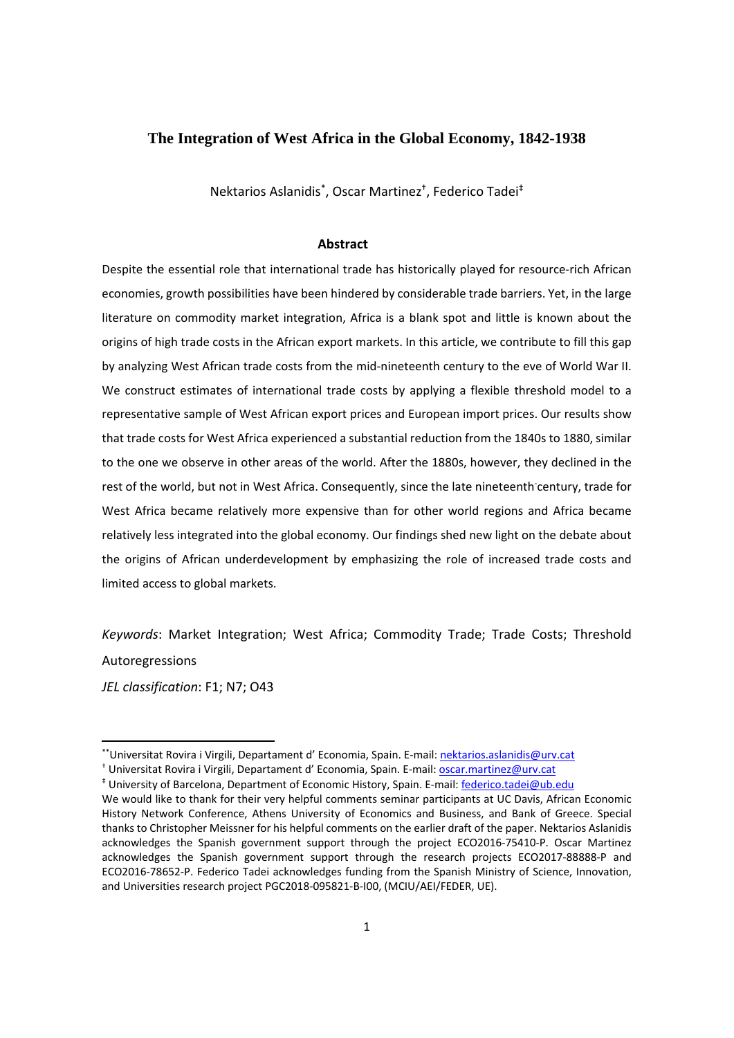### **The Integration of West Africa in the Global Economy, 1842-1938**

Nektarios Aslanidis\* , Oscar Martinez† , Federico Tadei‡

### **Abstract**

Despite the essential role that international trade has historically played for resource‐rich African economies, growth possibilities have been hindered by considerable trade barriers. Yet, in the large literature on commodity market integration, Africa is a blank spot and little is known about the origins of high trade costs in the African export markets. In this article, we contribute to fill this gap by analyzing West African trade costs from the mid‐nineteenth century to the eve of World War II. We construct estimates of international trade costs by applying a flexible threshold model to a representative sample of West African export prices and European import prices. Our results show that trade costs for West Africa experienced a substantial reduction from the 1840s to 1880, similar to the one we observe in other areas of the world. After the 1880s, however, they declined in the rest of the world, but not in West Africa. Consequently, since the late nineteenth century, trade for West Africa became relatively more expensive than for other world regions and Africa became relatively less integrated into the global economy. Our findings shed new light on the debate about the origins of African underdevelopment by emphasizing the role of increased trade costs and limited access to global markets.

*Keywords*: Market Integration; West Africa; Commodity Trade; Trade Costs; Threshold Autoregressions

*JEL classification*: F1; N7; O43

<sup>†</sup> Universitat Rovira i Virgili, Departament d' Economia, Spain. E-mail: **oscar.martinez@urv.cat** 

<sup>\*\*</sup>Universitat Rovira i Virgili, Departament d' Economia, Spain. E‐mail: nektarios.aslanidis@urv.cat

<sup>‡</sup> University of Barcelona, Department of Economic History, Spain. E‐mail: federico.tadei@ub.edu

We would like to thank for their very helpful comments seminar participants at UC Davis, African Economic History Network Conference, Athens University of Economics and Business, and Bank of Greece. Special thanks to Christopher Meissner for his helpful comments on the earlier draft of the paper. Nektarios Aslanidis acknowledges the Spanish government support through the project ECO2016‐75410‐P. Oscar Martinez acknowledges the Spanish government support through the research projects ECO2017‐88888‐P and ECO2016‐78652‐P. Federico Tadei acknowledges funding from the Spanish Ministry of Science, Innovation, and Universities research project PGC2018‐095821‐B‐I00, (MCIU/AEI/FEDER, UE).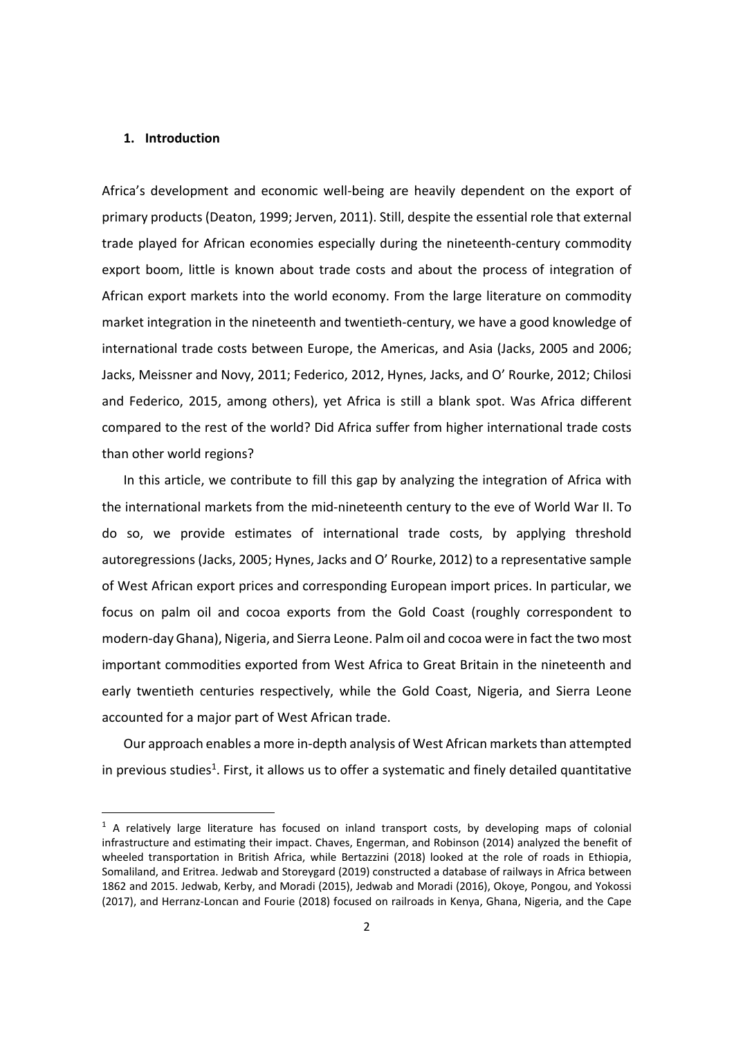### **1. Introduction**

Africa's development and economic well‐being are heavily dependent on the export of primary products (Deaton, 1999; Jerven, 2011). Still, despite the essential role that external trade played for African economies especially during the nineteenth‐century commodity export boom, little is known about trade costs and about the process of integration of African export markets into the world economy. From the large literature on commodity market integration in the nineteenth and twentieth‐century, we have a good knowledge of international trade costs between Europe, the Americas, and Asia (Jacks, 2005 and 2006; Jacks, Meissner and Novy, 2011; Federico, 2012, Hynes, Jacks, and O' Rourke, 2012; Chilosi and Federico, 2015, among others), yet Africa is still a blank spot. Was Africa different compared to the rest of the world? Did Africa suffer from higher international trade costs than other world regions?

In this article, we contribute to fill this gap by analyzing the integration of Africa with the international markets from the mid‐nineteenth century to the eve of World War II. To do so, we provide estimates of international trade costs, by applying threshold autoregressions (Jacks, 2005; Hynes, Jacks and O' Rourke, 2012) to a representative sample of West African export prices and corresponding European import prices. In particular, we focus on palm oil and cocoa exports from the Gold Coast (roughly correspondent to modern‐day Ghana), Nigeria, and Sierra Leone. Palm oil and cocoa were in fact the two most important commodities exported from West Africa to Great Britain in the nineteenth and early twentieth centuries respectively, while the Gold Coast, Nigeria, and Sierra Leone accounted for a major part of West African trade.

Our approach enables a more in-depth analysis of West African markets than attempted in previous studies<sup>1</sup>. First, it allows us to offer a systematic and finely detailed quantitative

 $1$  A relatively large literature has focused on inland transport costs, by developing maps of colonial infrastructure and estimating their impact. Chaves, Engerman, and Robinson (2014) analyzed the benefit of wheeled transportation in British Africa, while Bertazzini (2018) looked at the role of roads in Ethiopia, Somaliland, and Eritrea. Jedwab and Storeygard (2019) constructed a database of railways in Africa between 1862 and 2015. Jedwab, Kerby, and Moradi (2015), Jedwab and Moradi (2016), Okoye, Pongou, and Yokossi (2017), and Herranz‐Loncan and Fourie (2018) focused on railroads in Kenya, Ghana, Nigeria, and the Cape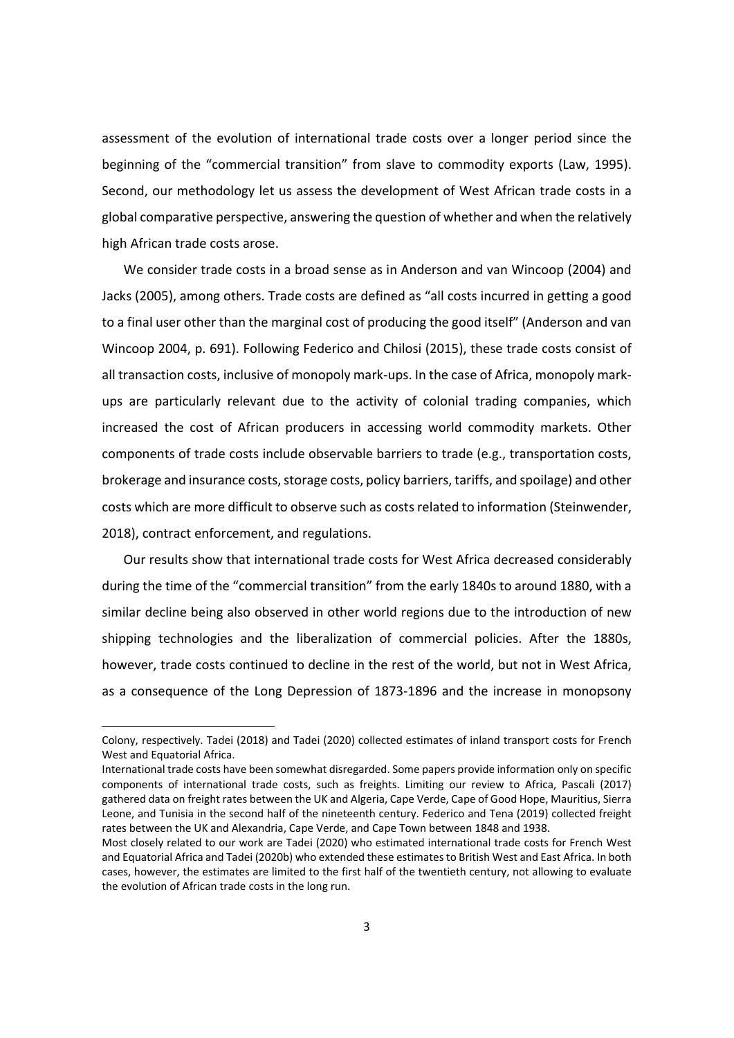assessment of the evolution of international trade costs over a longer period since the beginning of the "commercial transition" from slave to commodity exports (Law, 1995). Second, our methodology let us assess the development of West African trade costs in a global comparative perspective, answering the question of whether and when the relatively high African trade costs arose.

We consider trade costs in a broad sense as in Anderson and van Wincoop (2004) and Jacks (2005), among others. Trade costs are defined as "all costs incurred in getting a good to a final user other than the marginal cost of producing the good itself" (Anderson and van Wincoop 2004, p. 691). Following Federico and Chilosi (2015), these trade costs consist of all transaction costs, inclusive of monopoly mark‐ups. In the case of Africa, monopoly mark‐ ups are particularly relevant due to the activity of colonial trading companies, which increased the cost of African producers in accessing world commodity markets. Other components of trade costs include observable barriers to trade (e.g., transportation costs, brokerage and insurance costs, storage costs, policy barriers, tariffs, and spoilage) and other costs which are more difficult to observe such as costsrelated to information (Steinwender, 2018), contract enforcement, and regulations.

Our results show that international trade costs for West Africa decreased considerably during the time of the "commercial transition" from the early 1840s to around 1880, with a similar decline being also observed in other world regions due to the introduction of new shipping technologies and the liberalization of commercial policies. After the 1880s, however, trade costs continued to decline in the rest of the world, but not in West Africa, as a consequence of the Long Depression of 1873‐1896 and the increase in monopsony

Colony, respectively. Tadei (2018) and Tadei (2020) collected estimates of inland transport costs for French West and Equatorial Africa.

International trade costs have been somewhat disregarded. Some papers provide information only on specific components of international trade costs, such as freights. Limiting our review to Africa, Pascali (2017) gathered data on freight rates between the UK and Algeria, Cape Verde, Cape of Good Hope, Mauritius, Sierra Leone, and Tunisia in the second half of the nineteenth century. Federico and Tena (2019) collected freight rates between the UK and Alexandria, Cape Verde, and Cape Town between 1848 and 1938.

Most closely related to our work are Tadei (2020) who estimated international trade costs for French West and Equatorial Africa and Tadei (2020b) who extended these estimatesto British West and East Africa. In both cases, however, the estimates are limited to the first half of the twentieth century, not allowing to evaluate the evolution of African trade costs in the long run.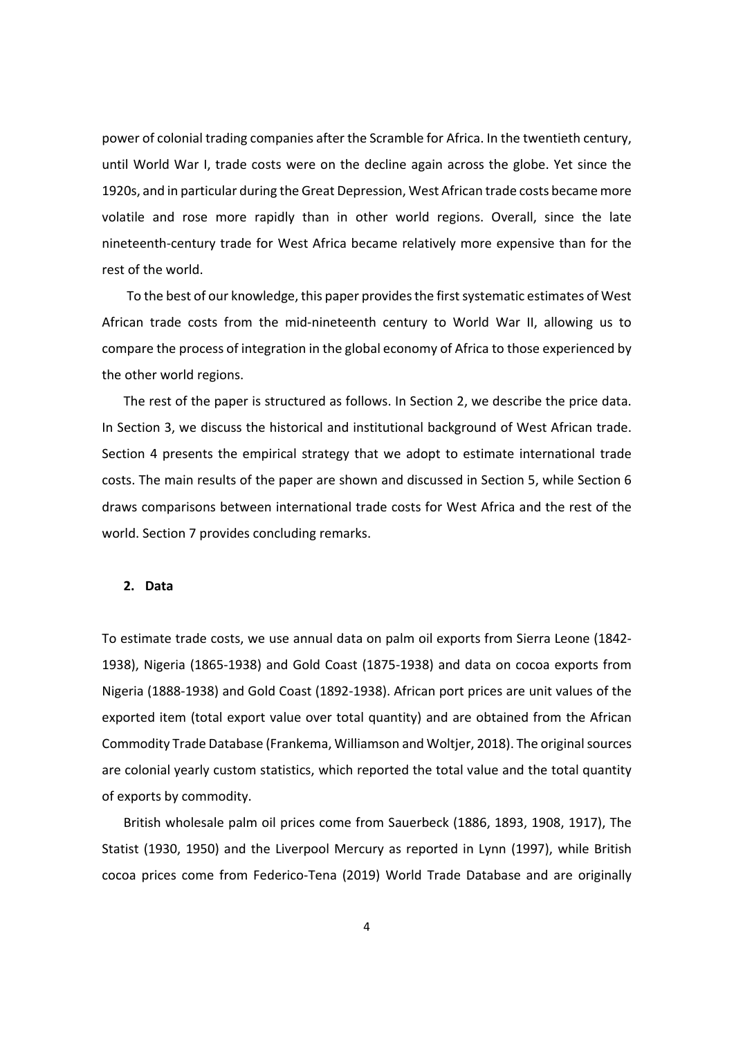power of colonial trading companies after the Scramble for Africa. In the twentieth century, until World War I, trade costs were on the decline again across the globe. Yet since the 1920s, and in particular during the Great Depression, West African trade costs became more volatile and rose more rapidly than in other world regions. Overall, since the late nineteenth-century trade for West Africa became relatively more expensive than for the rest of the world.

To the best of our knowledge, this paper provides the first systematic estimates of West African trade costs from the mid‐nineteenth century to World War II, allowing us to compare the process of integration in the global economy of Africa to those experienced by the other world regions.

The rest of the paper is structured as follows. In Section 2, we describe the price data. In Section 3, we discuss the historical and institutional background of West African trade. Section 4 presents the empirical strategy that we adopt to estimate international trade costs. The main results of the paper are shown and discussed in Section 5, while Section 6 draws comparisons between international trade costs for West Africa and the rest of the world. Section 7 provides concluding remarks.

## **2. Data**

To estimate trade costs, we use annual data on palm oil exports from Sierra Leone (1842‐ 1938), Nigeria (1865‐1938) and Gold Coast (1875‐1938) and data on cocoa exports from Nigeria (1888‐1938) and Gold Coast (1892‐1938). African port prices are unit values of the exported item (total export value over total quantity) and are obtained from the African Commodity Trade Database (Frankema, Williamson and Woltjer, 2018). The originalsources are colonial yearly custom statistics, which reported the total value and the total quantity of exports by commodity.

British wholesale palm oil prices come from Sauerbeck (1886, 1893, 1908, 1917), The Statist (1930, 1950) and the Liverpool Mercury as reported in Lynn (1997), while British cocoa prices come from Federico‐Tena (2019) World Trade Database and are originally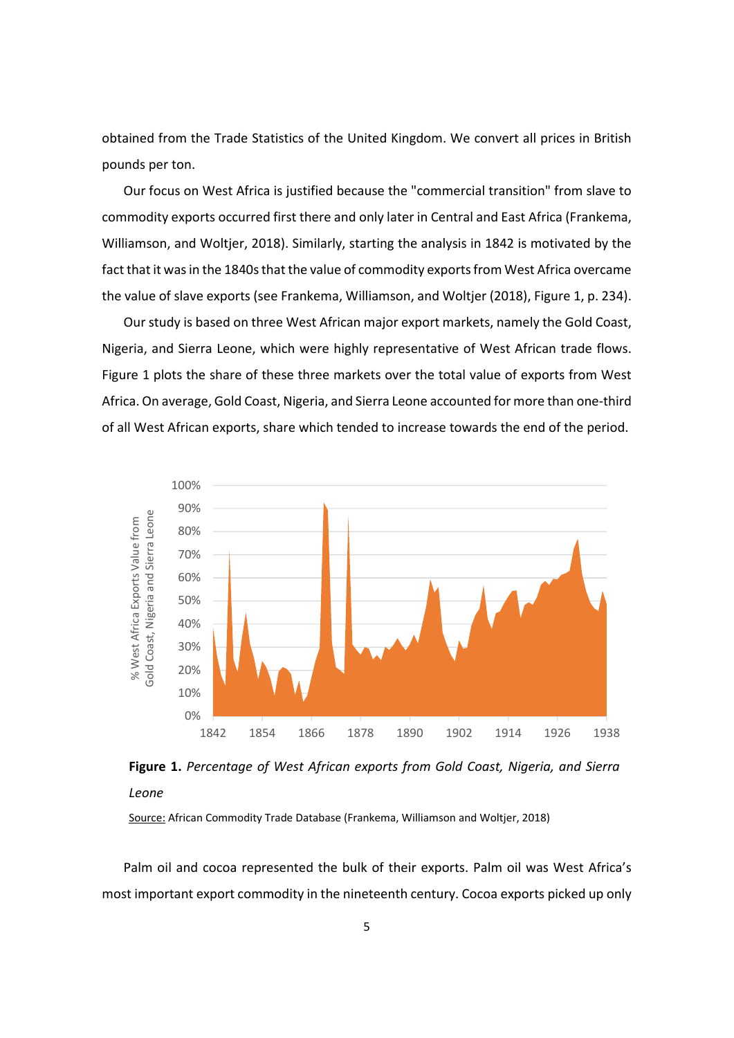obtained from the Trade Statistics of the United Kingdom. We convert all prices in British pounds per ton.

Our focus on West Africa is justified because the "commercial transition" from slave to commodity exports occurred first there and only later in Central and East Africa (Frankema, Williamson, and Woltjer, 2018). Similarly, starting the analysis in 1842 is motivated by the fact that it was in the 1840s that the value of commodity exports from West Africa overcame the value of slave exports (see Frankema, Williamson, and Woltjer (2018), Figure 1, p. 234).

Our study is based on three West African major export markets, namely the Gold Coast, Nigeria, and Sierra Leone, which were highly representative of West African trade flows. Figure 1 plots the share of these three markets over the total value of exports from West Africa. On average, Gold Coast, Nigeria, and Sierra Leone accounted for more than one‐third of all West African exports, share which tended to increase towards the end of the period.





Source: African Commodity Trade Database (Frankema, Williamson and Woltjer, 2018)

Palm oil and cocoa represented the bulk of their exports. Palm oil was West Africa's most important export commodity in the nineteenth century. Cocoa exports picked up only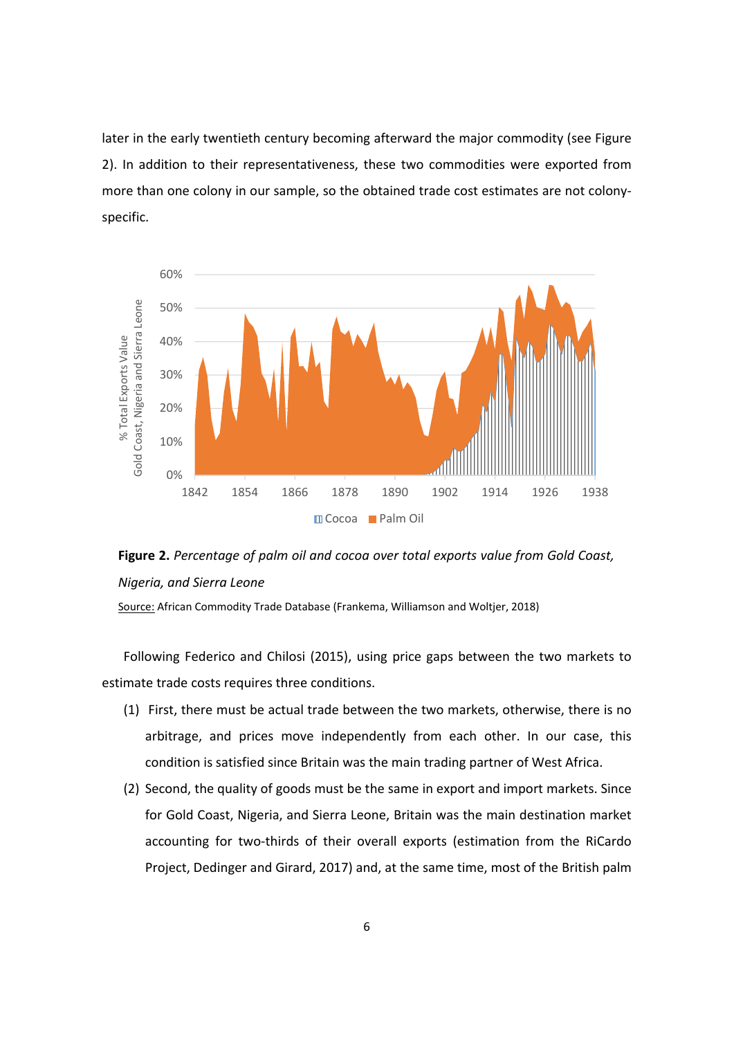later in the early twentieth century becoming afterward the major commodity (see Figure 2). In addition to their representativeness, these two commodities were exported from more than one colony in our sample, so the obtained trade cost estimates are not colonyspecific.



**Figure 2.** *Percentage of palm oil and cocoa over total exports value from Gold Coast, Nigeria, and Sierra Leone*

Source: African Commodity Trade Database (Frankema, Williamson and Woltjer, 2018)

Following Federico and Chilosi (2015), using price gaps between the two markets to estimate trade costs requires three conditions.

- (1) First, there must be actual trade between the two markets, otherwise, there is no arbitrage, and prices move independently from each other. In our case, this condition is satisfied since Britain was the main trading partner of West Africa.
- (2) Second, the quality of goods must be the same in export and import markets. Since for Gold Coast, Nigeria, and Sierra Leone, Britain was the main destination market accounting for two-thirds of their overall exports (estimation from the RiCardo Project, Dedinger and Girard, 2017) and, at the same time, most of the British palm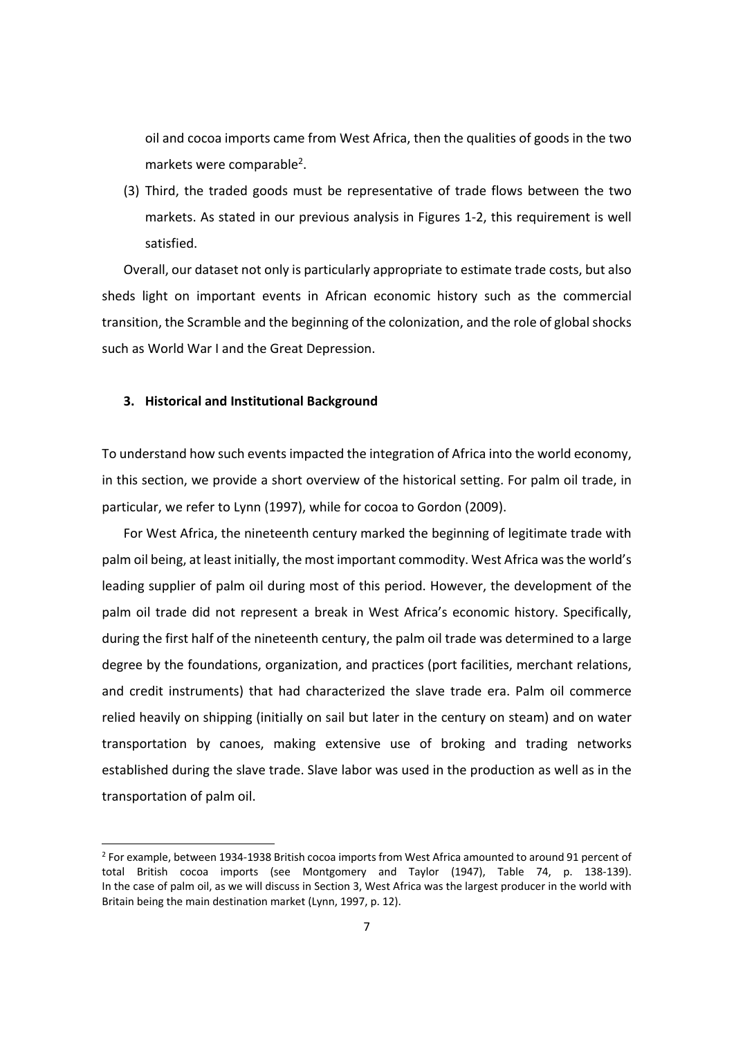oil and cocoa imports came from West Africa, then the qualities of goods in the two markets were comparable<sup>2</sup>.

(3) Third, the traded goods must be representative of trade flows between the two markets. As stated in our previous analysis in Figures 1‐2, this requirement is well satisfied.

Overall, our dataset not only is particularly appropriate to estimate trade costs, but also sheds light on important events in African economic history such as the commercial transition, the Scramble and the beginning of the colonization, and the role of globalshocks such as World War I and the Great Depression.

### **3. Historical and Institutional Background**

To understand how such eventsimpacted the integration of Africa into the world economy, in this section, we provide a short overview of the historical setting. For palm oil trade, in particular, we refer to Lynn (1997), while for cocoa to Gordon (2009).

For West Africa, the nineteenth century marked the beginning of legitimate trade with palm oil being, at least initially, the most important commodity. West Africa wasthe world's leading supplier of palm oil during most of this period. However, the development of the palm oil trade did not represent a break in West Africa's economic history. Specifically, during the first half of the nineteenth century, the palm oil trade was determined to a large degree by the foundations, organization, and practices (port facilities, merchant relations, and credit instruments) that had characterized the slave trade era. Palm oil commerce relied heavily on shipping (initially on sail but later in the century on steam) and on water transportation by canoes, making extensive use of broking and trading networks established during the slave trade. Slave labor was used in the production as well as in the transportation of palm oil.

<sup>2</sup> For example, between 1934‐1938 British cocoa imports from West Africa amounted to around 91 percent of total British cocoa imports (see Montgomery and Taylor (1947), Table 74, p. 138‐139). In the case of palm oil, as we will discuss in Section 3, West Africa was the largest producer in the world with Britain being the main destination market (Lynn, 1997, p. 12).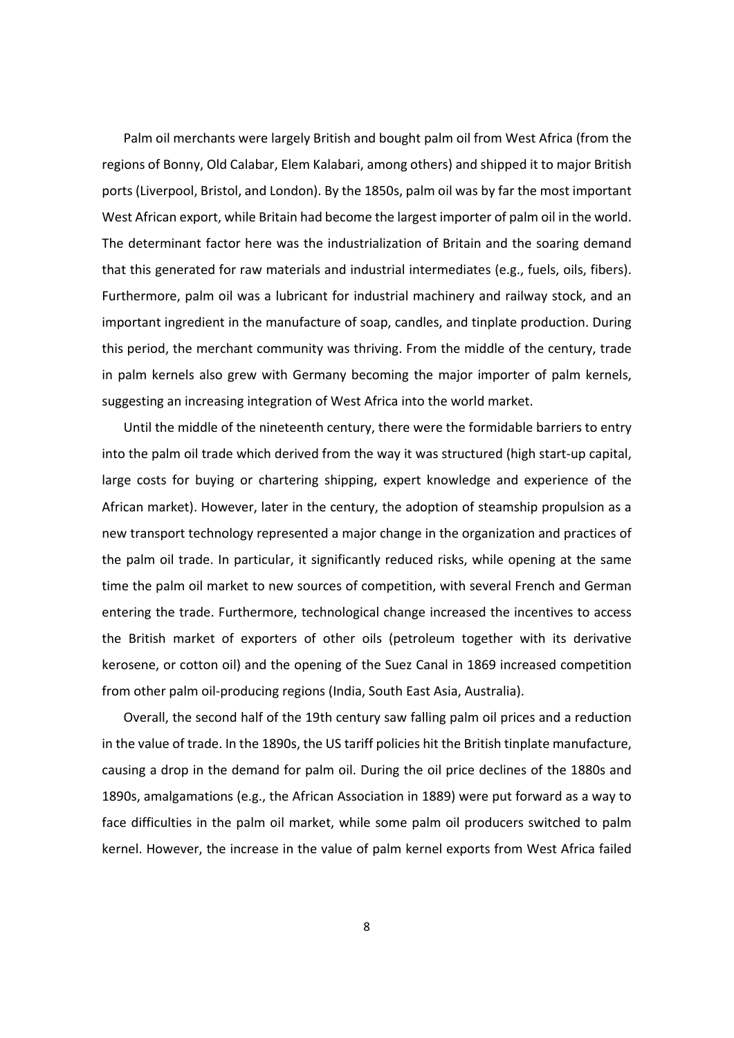Palm oil merchants were largely British and bought palm oil from West Africa (from the regions of Bonny, Old Calabar, Elem Kalabari, among others) and shipped it to major British ports (Liverpool, Bristol, and London). By the 1850s, palm oil was by far the most important West African export, while Britain had become the largest importer of palm oil in the world. The determinant factor here was the industrialization of Britain and the soaring demand that this generated for raw materials and industrial intermediates (e.g., fuels, oils, fibers). Furthermore, palm oil was a lubricant for industrial machinery and railway stock, and an important ingredient in the manufacture of soap, candles, and tinplate production. During this period, the merchant community was thriving. From the middle of the century, trade in palm kernels also grew with Germany becoming the major importer of palm kernels, suggesting an increasing integration of West Africa into the world market.

Until the middle of the nineteenth century, there were the formidable barriers to entry into the palm oil trade which derived from the way it was structured (high start‐up capital, large costs for buying or chartering shipping, expert knowledge and experience of the African market). However, later in the century, the adoption of steamship propulsion as a new transport technology represented a major change in the organization and practices of the palm oil trade. In particular, it significantly reduced risks, while opening at the same time the palm oil market to new sources of competition, with several French and German entering the trade. Furthermore, technological change increased the incentives to access the British market of exporters of other oils (petroleum together with its derivative kerosene, or cotton oil) and the opening of the Suez Canal in 1869 increased competition from other palm oil‐producing regions (India, South East Asia, Australia).

Overall, the second half of the 19th century saw falling palm oil prices and a reduction in the value of trade. In the 1890s, the US tariff policies hit the British tinplate manufacture, causing a drop in the demand for palm oil. During the oil price declines of the 1880s and 1890s, amalgamations (e.g., the African Association in 1889) were put forward as a way to face difficulties in the palm oil market, while some palm oil producers switched to palm kernel. However, the increase in the value of palm kernel exports from West Africa failed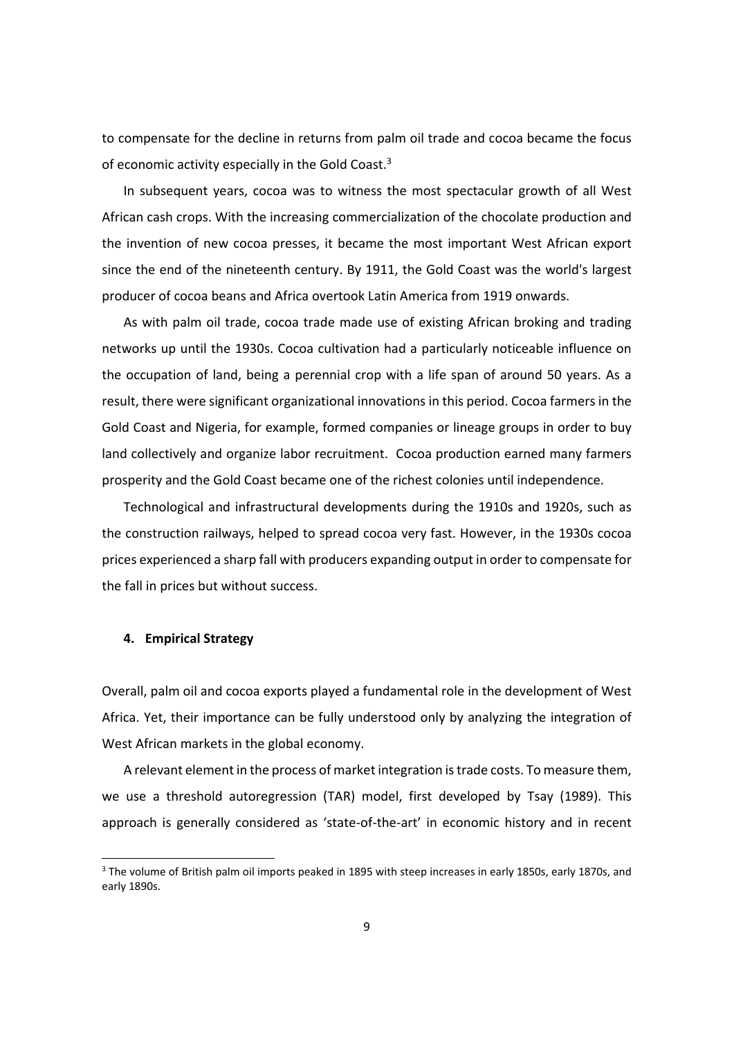to compensate for the decline in returns from palm oil trade and cocoa became the focus of economic activity especially in the Gold Coast.<sup>3</sup>

In subsequent years, cocoa was to witness the most spectacular growth of all West African cash crops. With the increasing commercialization of the chocolate production and the invention of new cocoa presses, it became the most important West African export since the end of the nineteenth century. By 1911, the Gold Coast was the world's largest producer of cocoa beans and Africa overtook Latin America from 1919 onwards.

As with palm oil trade, cocoa trade made use of existing African broking and trading networks up until the 1930s. Cocoa cultivation had a particularly noticeable influence on the occupation of land, being a perennial crop with a life span of around 50 years. As a result, there were significant organizational innovations in this period. Cocoa farmers in the Gold Coast and Nigeria, for example, formed companies or lineage groups in order to buy land collectively and organize labor recruitment. Cocoa production earned many farmers prosperity and the Gold Coast became one of the richest colonies until independence.

Technological and infrastructural developments during the 1910s and 1920s, such as the construction railways, helped to spread cocoa very fast. However, in the 1930s cocoa prices experienced a sharp fall with producers expanding output in order to compensate for the fall in prices but without success.

### **4. Empirical Strategy**

Overall, palm oil and cocoa exports played a fundamental role in the development of West Africa. Yet, their importance can be fully understood only by analyzing the integration of West African markets in the global economy.

A relevant element in the process of market integration is trade costs. To measure them, we use a threshold autoregression (TAR) model, first developed by Tsay (1989). This approach is generally considered as 'state-of-the-art' in economic history and in recent

<sup>&</sup>lt;sup>3</sup> The volume of British palm oil imports peaked in 1895 with steep increases in early 1850s, early 1870s, and early 1890s.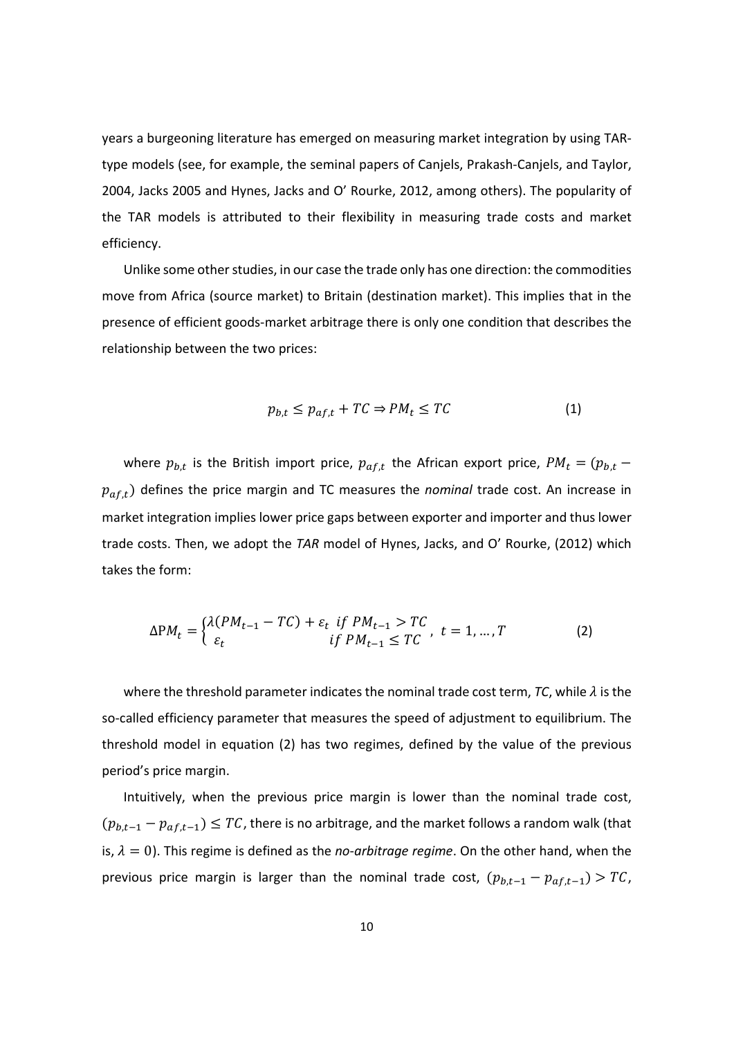years a burgeoning literature has emerged on measuring market integration by using TAR‐ type models (see, for example, the seminal papers of Canjels, Prakash‐Canjels, and Taylor, 2004, Jacks 2005 and Hynes, Jacks and O' Rourke, 2012, among others). The popularity of the TAR models is attributed to their flexibility in measuring trade costs and market efficiency.

Unlike some other studies, in our case the trade only has one direction: the commodities move from Africa (source market) to Britain (destination market). This implies that in the presence of efficient goods‐market arbitrage there is only one condition that describes the relationship between the two prices:

$$
p_{b,t} \le p_{af,t} + TC \Rightarrow PM_t \le TC \tag{1}
$$

where  $p_{b,t}$  is the British import price,  $p_{af,t}$  the African export price,  $PM_t = (p_{b,t} - p_{a,t})$  $p_{a f, t}$ ) defines the price margin and TC measures the *nominal* trade cost. An increase in market integration implies lower price gaps between exporter and importer and thus lower trade costs. Then, we adopt the *TAR* model of Hynes, Jacks, and O' Rourke, (2012) which takes the form:

$$
\Delta PM_t = \begin{cases} \lambda(PM_{t-1} - TC) + \varepsilon_t & \text{if } PM_{t-1} > TC \\ \varepsilon_t & \text{if } PM_{t-1} \le TC \end{cases}, t = 1, ..., T \tag{2}
$$

where the threshold parameter indicates the nominal trade cost term,  $TC$ , while  $\lambda$  is the so-called efficiency parameter that measures the speed of adjustment to equilibrium. The threshold model in equation (2) has two regimes, defined by the value of the previous period's price margin.

Intuitively, when the previous price margin is lower than the nominal trade cost,  $(p_{b,t-1} - p_{af,t-1}) \leq TC$ , there is no arbitrage, and the market follows a random walk (that is,  $\lambda = 0$ ). This regime is defined as the *no*-*arbitrage regime*. On the other hand, when the previous price margin is larger than the nominal trade cost,  $(p_{b,t-1} - p_{af,t-1}) > TC$ ,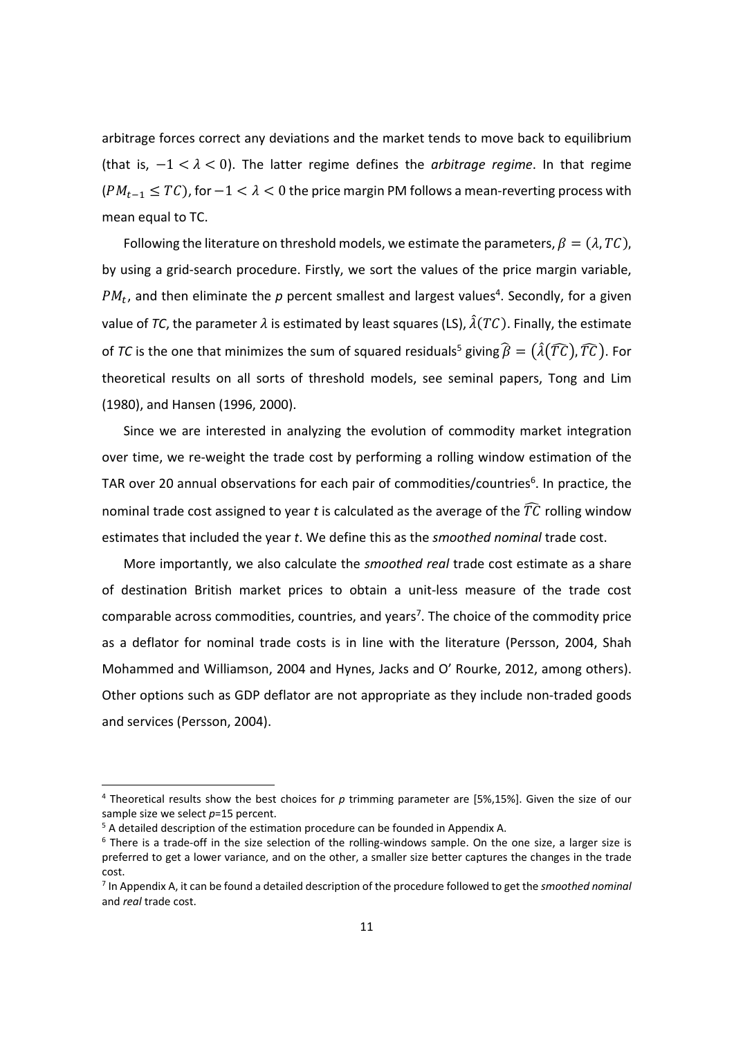arbitrage forces correct any deviations and the market tends to move back to equilibrium (that is,  $-1 < \lambda < 0$ ). The latter regime defines the *arbitrage regime*. In that regime  $(PM_{t-1} \leq TC)$ , for  $-1 < \lambda < 0$  the price margin PM follows a mean-reverting process with mean equal to TC.

Following the literature on threshold models, we estimate the parameters,  $\beta = (\lambda, TC)$ , by using a grid‐search procedure. Firstly, we sort the values of the price margin variable,  $PM_t$ , and then eliminate the  $p$  percent smallest and largest values<sup>4</sup>. Secondly, for a given value of *TC*, the parameter  $\lambda$  is estimated by least squares (LS),  $\hat{\lambda}(TC)$ . Finally, the estimate of *TC* is the one that minimizes the sum of squared residuals<sup>5</sup> giving  $\hat{\beta} = (\hat{\lambda}(T\hat{C}), T\hat{C})$ . For theoretical results on all sorts of threshold models, see seminal papers, Tong and Lim (1980), and Hansen (1996, 2000).

Since we are interested in analyzing the evolution of commodity market integration over time, we re‐weight the trade cost by performing a rolling window estimation of the TAR over 20 annual observations for each pair of commodities/countries<sup>6</sup>. In practice, the nominal trade cost assigned to year *t* is calculated as the average of the  $\widehat{TC}$  rolling window estimates that included the year *t*. We define this as the *smoothed nominal* trade cost.

More importantly, we also calculate the *smoothed real* trade cost estimate as a share of destination British market prices to obtain a unit‐less measure of the trade cost comparable across commodities, countries, and years7. The choice of the commodity price as a deflator for nominal trade costs is in line with the literature (Persson, 2004, Shah Mohammed and Williamson, 2004 and Hynes, Jacks and O' Rourke, 2012, among others). Other options such as GDP deflator are not appropriate as they include non‐traded goods and services (Persson, 2004).

<sup>4</sup> Theoretical results show the best choices for *p* trimming parameter are [5%,15%]. Given the size of our sample size we select *p*=15 percent.

<sup>&</sup>lt;sup>5</sup> A detailed description of the estimation procedure can be founded in Appendix A.

<sup>&</sup>lt;sup>6</sup> There is a trade-off in the size selection of the rolling-windows sample. On the one size, a larger size is preferred to get a lower variance, and on the other, a smaller size better captures the changes in the trade cost.

<sup>7</sup> In Appendix A, it can be found a detailed description of the procedure followed to get the *smoothed nominal* and *real* trade cost.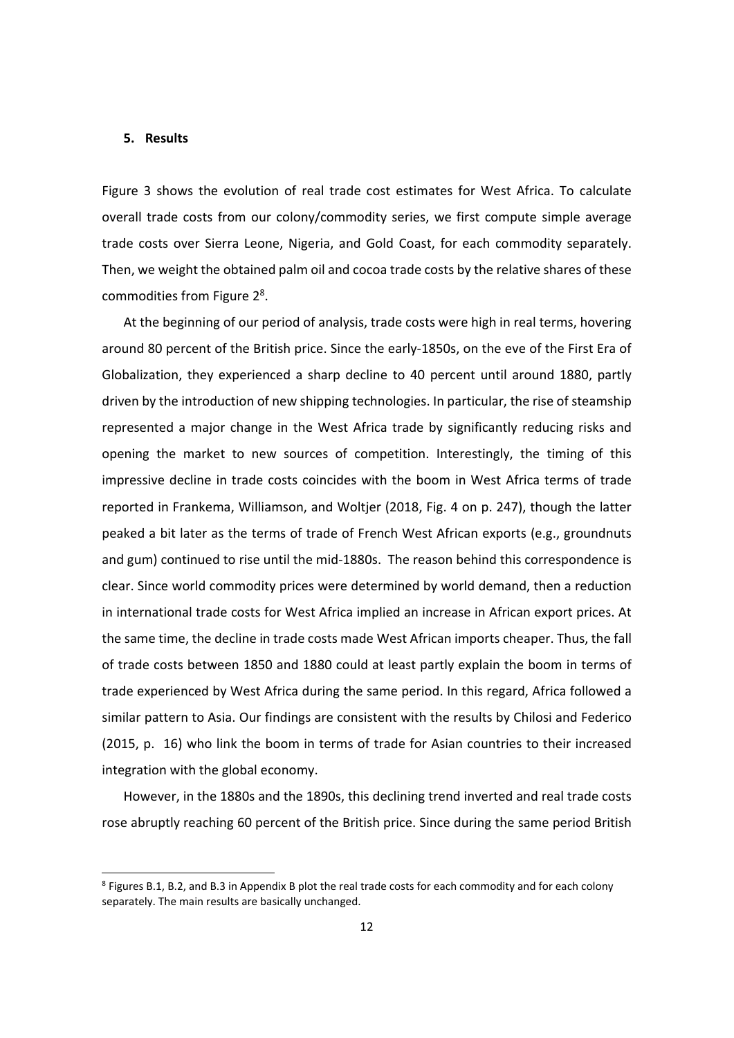### **5. Results**

Figure 3 shows the evolution of real trade cost estimates for West Africa. To calculate overall trade costs from our colony/commodity series, we first compute simple average trade costs over Sierra Leone, Nigeria, and Gold Coast, for each commodity separately. Then, we weight the obtained palm oil and cocoa trade costs by the relative shares of these commodities from Figure 2<sup>8</sup>.

At the beginning of our period of analysis, trade costs were high in real terms, hovering around 80 percent of the British price. Since the early‐1850s, on the eve of the First Era of Globalization, they experienced a sharp decline to 40 percent until around 1880, partly driven by the introduction of new shipping technologies. In particular, the rise of steamship represented a major change in the West Africa trade by significantly reducing risks and opening the market to new sources of competition. Interestingly, the timing of this impressive decline in trade costs coincides with the boom in West Africa terms of trade reported in Frankema, Williamson, and Woltjer (2018, Fig. 4 on p. 247), though the latter peaked a bit later as the terms of trade of French West African exports (e.g., groundnuts and gum) continued to rise until the mid-1880s. The reason behind this correspondence is clear. Since world commodity prices were determined by world demand, then a reduction in international trade costs for West Africa implied an increase in African export prices. At the same time, the decline in trade costs made West African imports cheaper. Thus, the fall of trade costs between 1850 and 1880 could at least partly explain the boom in terms of trade experienced by West Africa during the same period. In this regard, Africa followed a similar pattern to Asia. Our findings are consistent with the results by Chilosi and Federico (2015, p. 16) who link the boom in terms of trade for Asian countries to their increased integration with the global economy.

However, in the 1880s and the 1890s, this declining trend inverted and real trade costs rose abruptly reaching 60 percent of the British price. Since during the same period British

<sup>8</sup> Figures B.1, B.2, and B.3 in Appendix B plot the real trade costs for each commodity and for each colony separately. The main results are basically unchanged.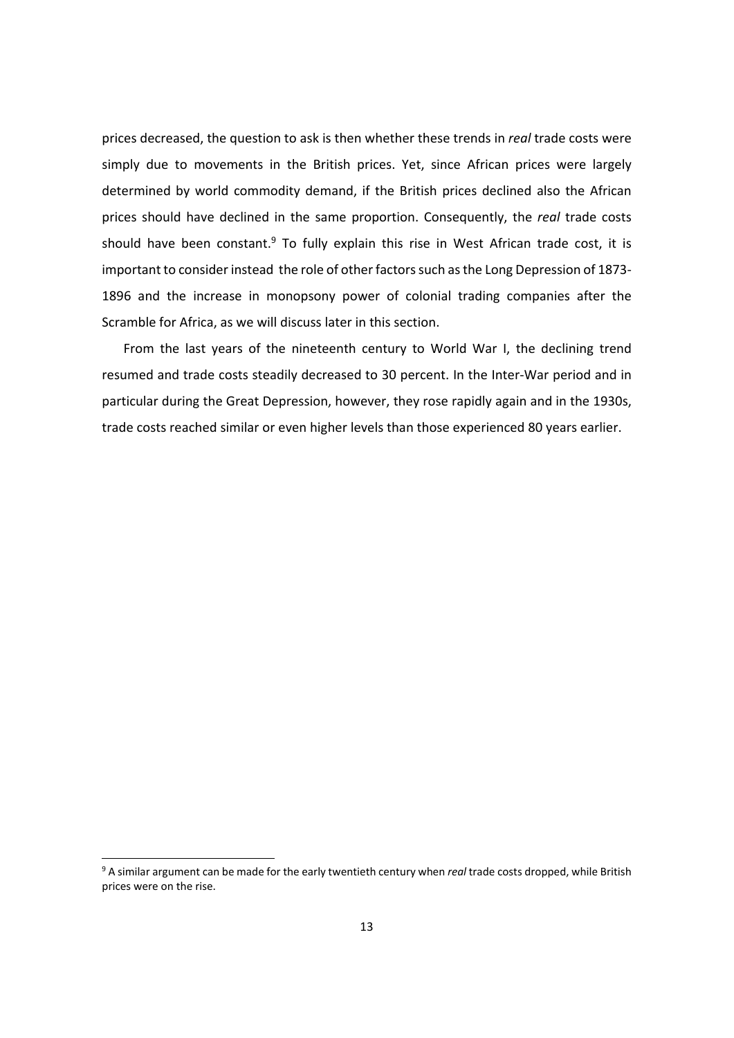prices decreased, the question to ask is then whether these trends in *real* trade costs were simply due to movements in the British prices. Yet, since African prices were largely determined by world commodity demand, if the British prices declined also the African prices should have declined in the same proportion. Consequently, the *real* trade costs should have been constant. $9$  To fully explain this rise in West African trade cost, it is important to consider instead the role of other factors such as the Long Depression of 1873-1896 and the increase in monopsony power of colonial trading companies after the Scramble for Africa, as we will discuss later in this section.

From the last years of the nineteenth century to World War I, the declining trend resumed and trade costs steadily decreased to 30 percent. In the Inter‐War period and in particular during the Great Depression, however, they rose rapidly again and in the 1930s, trade costs reached similar or even higher levels than those experienced 80 years earlier.

<sup>9</sup> A similar argument can be made for the early twentieth century when *real* trade costs dropped, while British prices were on the rise.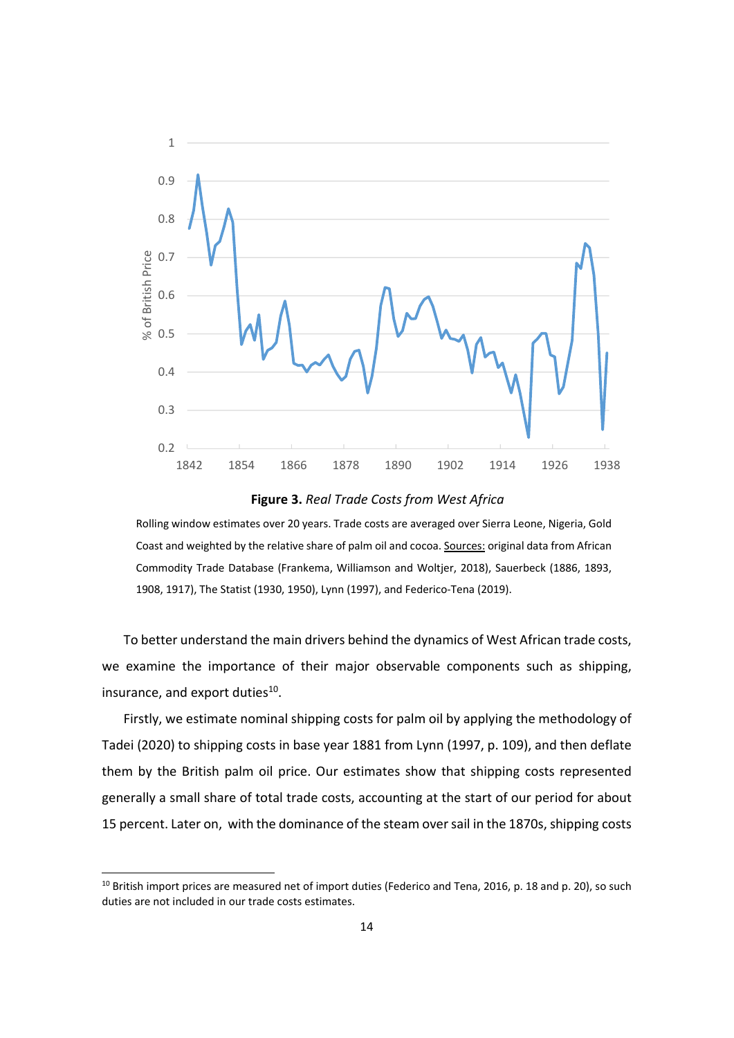

**Figure 3.** *Real Trade Costs from West Africa*

Rolling window estimates over 20 years. Trade costs are averaged over Sierra Leone, Nigeria, Gold Coast and weighted by the relative share of palm oil and cocoa. Sources: original data from African Commodity Trade Database (Frankema, Williamson and Woltjer, 2018), Sauerbeck (1886, 1893, 1908, 1917), The Statist (1930, 1950), Lynn (1997), and Federico‐Tena (2019).

To better understand the main drivers behind the dynamics of West African trade costs, we examine the importance of their major observable components such as shipping, insurance, and export duties<sup>10</sup>.

Firstly, we estimate nominal shipping costs for palm oil by applying the methodology of Tadei (2020) to shipping costs in base year 1881 from Lynn (1997, p. 109), and then deflate them by the British palm oil price. Our estimates show that shipping costs represented generally a small share of total trade costs, accounting at the start of our period for about 15 percent. Later on, with the dominance of the steam over sail in the 1870s, shipping costs

 $10$  British import prices are measured net of import duties (Federico and Tena, 2016, p. 18 and p. 20), so such duties are not included in our trade costs estimates.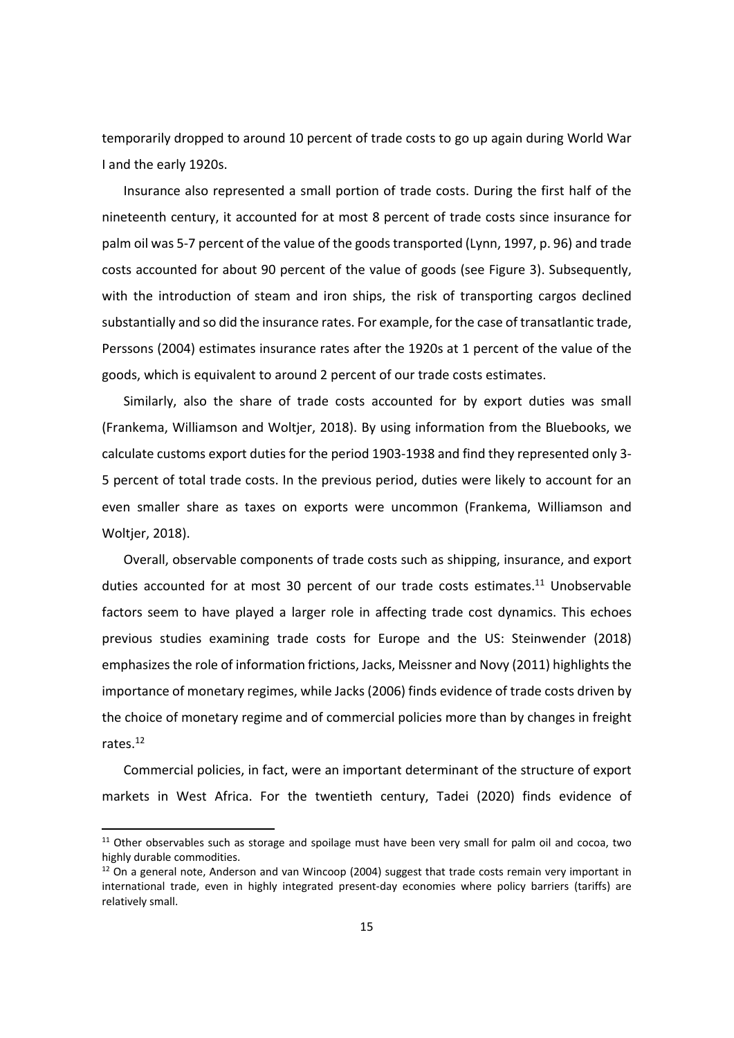temporarily dropped to around 10 percent of trade costs to go up again during World War I and the early 1920s.

Insurance also represented a small portion of trade costs. During the first half of the nineteenth century, it accounted for at most 8 percent of trade costs since insurance for palm oil was 5-7 percent of the value of the goods transported (Lynn, 1997, p. 96) and trade costs accounted for about 90 percent of the value of goods (see Figure 3). Subsequently, with the introduction of steam and iron ships, the risk of transporting cargos declined substantially and so did the insurance rates. For example, for the case of transatlantic trade, Perssons (2004) estimates insurance rates after the 1920s at 1 percent of the value of the goods, which is equivalent to around 2 percent of our trade costs estimates.

Similarly, also the share of trade costs accounted for by export duties was small (Frankema, Williamson and Woltjer, 2018). By using information from the Bluebooks, we calculate customs export duties for the period 1903‐1938 and find they represented only 3‐ 5 percent of total trade costs. In the previous period, duties were likely to account for an even smaller share as taxes on exports were uncommon (Frankema, Williamson and Woltjer, 2018).

Overall, observable components of trade costs such as shipping, insurance, and export duties accounted for at most 30 percent of our trade costs estimates.<sup>11</sup> Unobservable factors seem to have played a larger role in affecting trade cost dynamics. This echoes previous studies examining trade costs for Europe and the US: Steinwender (2018) emphasizes the role of information frictions, Jacks, Meissner and Novy (2011) highlights the importance of monetary regimes, while Jacks (2006) finds evidence of trade costs driven by the choice of monetary regime and of commercial policies more than by changes in freight rates.12

Commercial policies, in fact, were an important determinant of the structure of export markets in West Africa. For the twentieth century, Tadei (2020) finds evidence of

<sup>&</sup>lt;sup>11</sup> Other observables such as storage and spoilage must have been very small for palm oil and cocoa, two highly durable commodities.

 $12$  On a general note, Anderson and van Wincoop (2004) suggest that trade costs remain very important in international trade, even in highly integrated present-day economies where policy barriers (tariffs) are relatively small.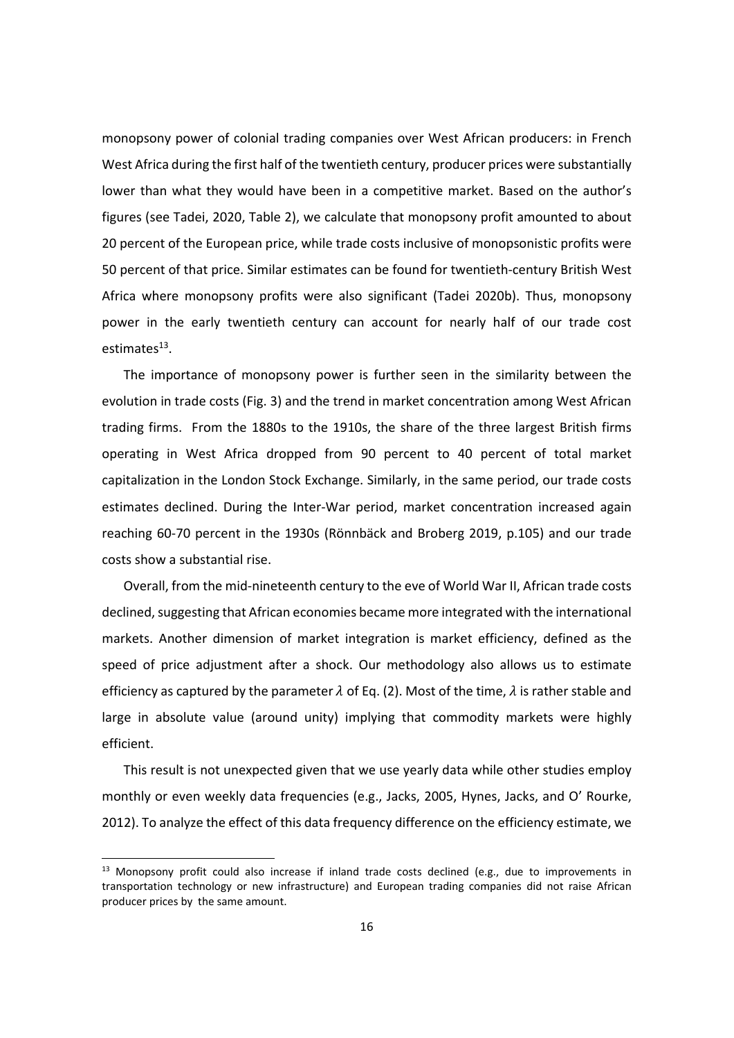monopsony power of colonial trading companies over West African producers: in French West Africa during the first half of the twentieth century, producer prices were substantially lower than what they would have been in a competitive market. Based on the author's figures (see Tadei, 2020, Table 2), we calculate that monopsony profit amounted to about 20 percent of the European price, while trade costs inclusive of monopsonistic profits were 50 percent of that price. Similar estimates can be found for twentieth-century British West Africa where monopsony profits were also significant (Tadei 2020b). Thus, monopsony power in the early twentieth century can account for nearly half of our trade cost estimates $13$ .

The importance of monopsony power is further seen in the similarity between the evolution in trade costs (Fig. 3) and the trend in market concentration among West African trading firms. From the 1880s to the 1910s, the share of the three largest British firms operating in West Africa dropped from 90 percent to 40 percent of total market capitalization in the London Stock Exchange. Similarly, in the same period, our trade costs estimates declined. During the Inter‐War period, market concentration increased again reaching 60‐70 percent in the 1930s (Rönnbäck and Broberg 2019, p.105) and our trade costs show a substantial rise.

Overall, from the mid‐nineteenth century to the eve of World War II, African trade costs declined, suggesting that African economies became more integrated with the international markets. Another dimension of market integration is market efficiency, defined as the speed of price adjustment after a shock. Our methodology also allows us to estimate efficiency as captured by the parameter  $\lambda$  of Eq. (2). Most of the time,  $\lambda$  is rather stable and large in absolute value (around unity) implying that commodity markets were highly efficient.

This result is not unexpected given that we use yearly data while other studies employ monthly or even weekly data frequencies (e.g., Jacks, 2005, Hynes, Jacks, and O' Rourke, 2012). To analyze the effect of this data frequency difference on the efficiency estimate, we

<sup>&</sup>lt;sup>13</sup> Monopsony profit could also increase if inland trade costs declined (e.g., due to improvements in transportation technology or new infrastructure) and European trading companies did not raise African producer prices by the same amount.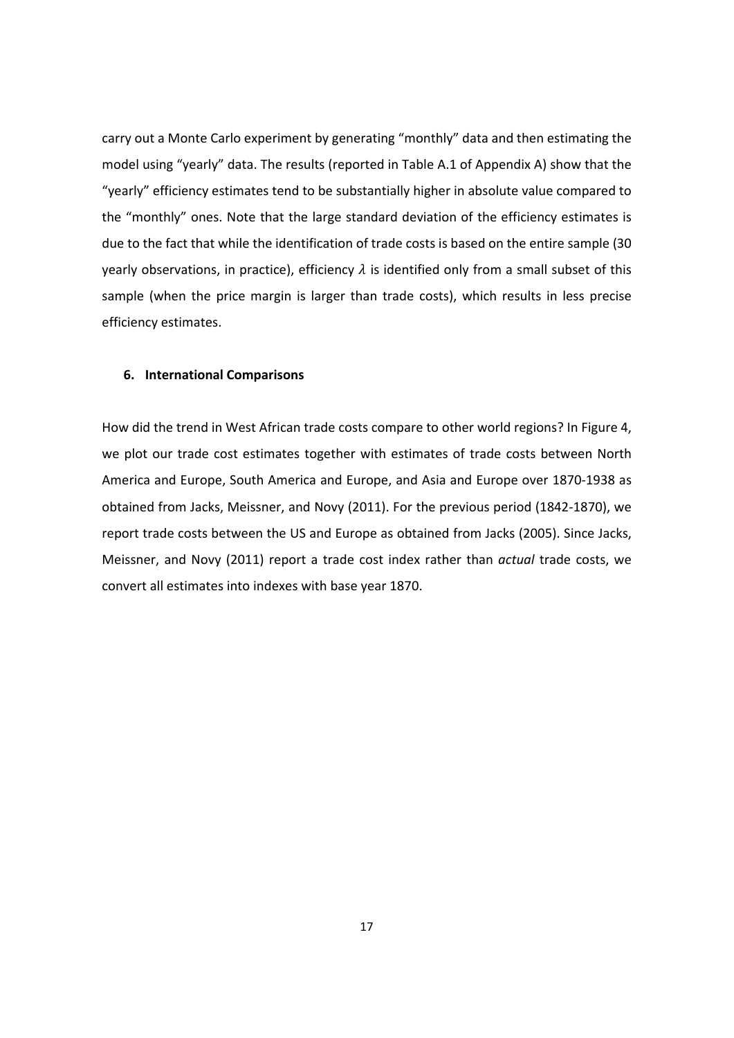carry out a Monte Carlo experiment by generating "monthly" data and then estimating the model using "yearly" data. The results (reported in Table A.1 of Appendix A) show that the "yearly" efficiency estimates tend to be substantially higher in absolute value compared to the "monthly" ones. Note that the large standard deviation of the efficiency estimates is due to the fact that while the identification of trade costs is based on the entire sample (30 yearly observations, in practice), efficiency  $\lambda$  is identified only from a small subset of this sample (when the price margin is larger than trade costs), which results in less precise efficiency estimates.

### **6. International Comparisons**

How did the trend in West African trade costs compare to other world regions? In Figure 4, we plot our trade cost estimates together with estimates of trade costs between North America and Europe, South America and Europe, and Asia and Europe over 1870‐1938 as obtained from Jacks, Meissner, and Novy (2011). For the previous period (1842‐1870), we report trade costs between the US and Europe as obtained from Jacks (2005). Since Jacks, Meissner, and Novy (2011) report a trade cost index rather than *actual* trade costs, we convert all estimates into indexes with base year 1870.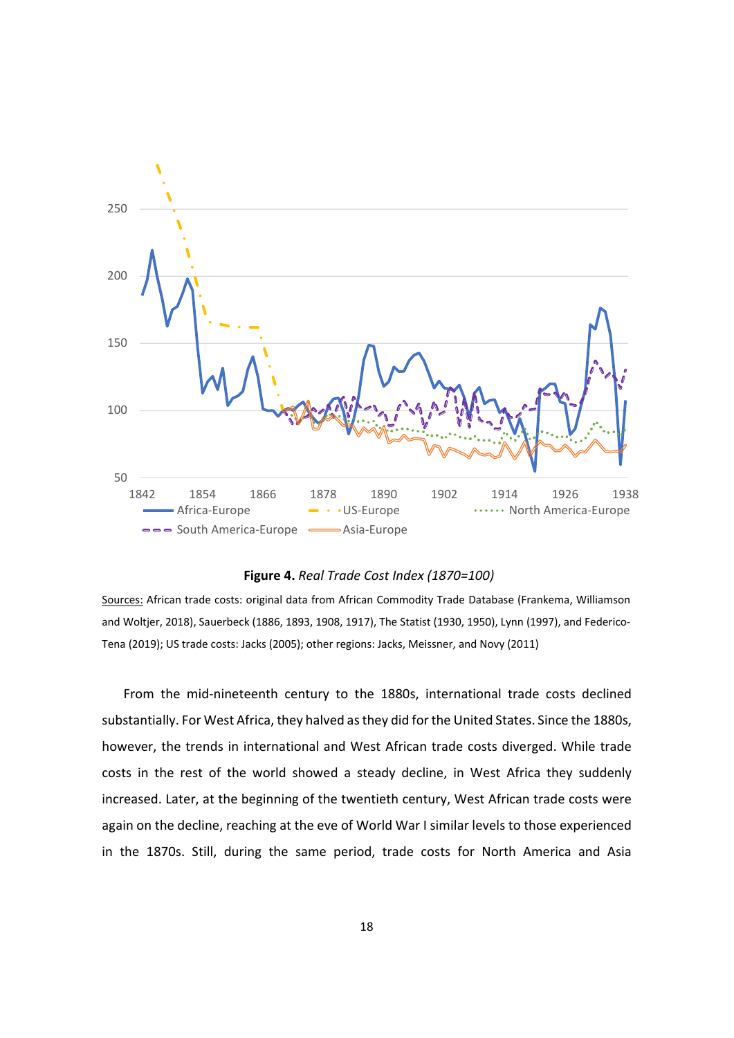

### **Figure 4.** *Real Trade Cost Index (1870=100)*

Sources: African trade costs: original data from African Commodity Trade Database (Frankema, Williamson and Woltjer, 2018), Sauerbeck (1886, 1893, 1908, 1917), The Statist (1930, 1950), Lynn (1997), and Federico‐ Tena (2019); US trade costs: Jacks (2005); other regions: Jacks, Meissner, and Novy (2011)

From the mid-nineteenth century to the 1880s, international trade costs declined substantially. For West Africa, they halved as they did for the United States. Since the 1880s, however, the trends in international and West African trade costs diverged. While trade costs in the rest of the world showed a steady decline, in West Africa they suddenly increased. Later, at the beginning of the twentieth century, West African trade costs were again on the decline, reaching at the eve of World War I similar levels to those experienced in the 1870s. Still, during the same period, trade costs for North America and Asia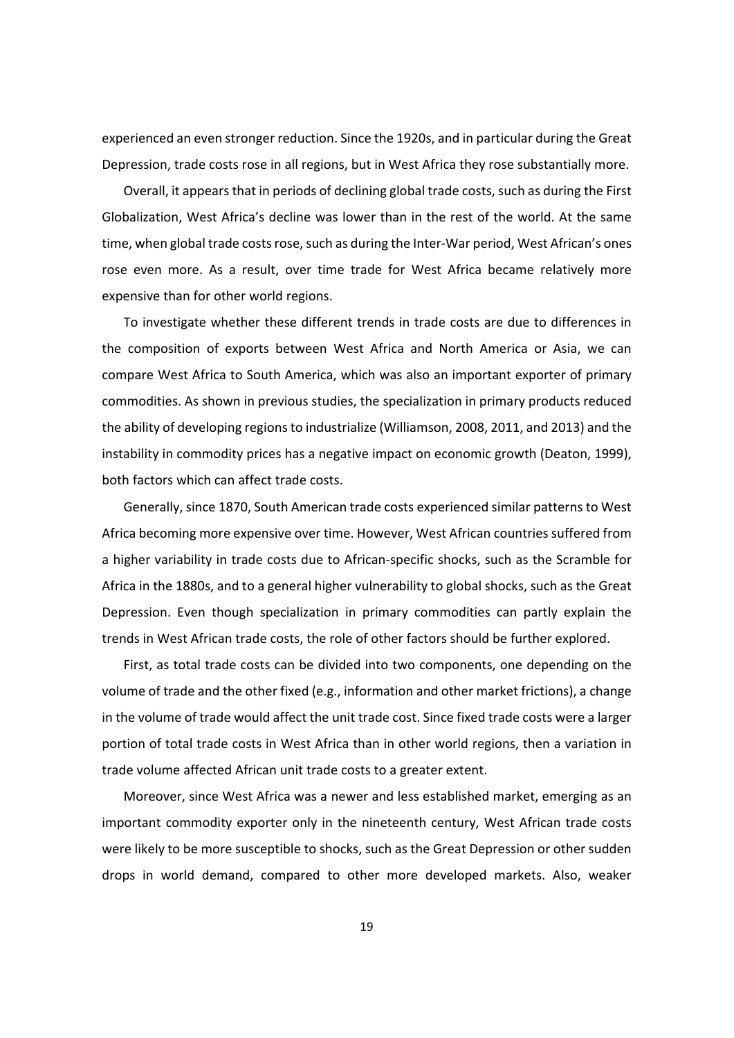experienced an even stronger reduction. Since the 1920s, and in particular during the Great Depression, trade costs rose in all regions, but in West Africa they rose substantially more.

Overall, it appearsthat in periods of declining global trade costs, such as during the First Globalization, West Africa's decline was lower than in the rest of the world. At the same time, when global trade costs rose, such as during the Inter-War period, West African's ones rose even more. As a result, over time trade for West Africa became relatively more expensive than for other world regions.

To investigate whether these different trends in trade costs are due to differences in the composition of exports between West Africa and North America or Asia, we can compare West Africa to South America, which was also an important exporter of primary commodities. As shown in previous studies, the specialization in primary products reduced the ability of developing regionsto industrialize (Williamson, 2008, 2011, and 2013) and the instability in commodity prices has a negative impact on economic growth (Deaton, 1999), both factors which can affect trade costs.

Generally, since 1870, South American trade costs experienced similar patterns to West Africa becoming more expensive over time. However, West African countries suffered from a higher variability in trade costs due to African‐specific shocks, such as the Scramble for Africa in the 1880s, and to a general higher vulnerability to global shocks, such as the Great Depression. Even though specialization in primary commodities can partly explain the trends in West African trade costs, the role of other factors should be further explored.

First, as total trade costs can be divided into two components, one depending on the volume of trade and the other fixed (e.g., information and other market frictions), a change in the volume of trade would affect the unit trade cost. Since fixed trade costs were a larger portion of total trade costs in West Africa than in other world regions, then a variation in trade volume affected African unit trade costs to a greater extent.

Moreover, since West Africa was a newer and less established market, emerging as an important commodity exporter only in the nineteenth century, West African trade costs were likely to be more susceptible to shocks, such as the Great Depression or other sudden drops in world demand, compared to other more developed markets. Also, weaker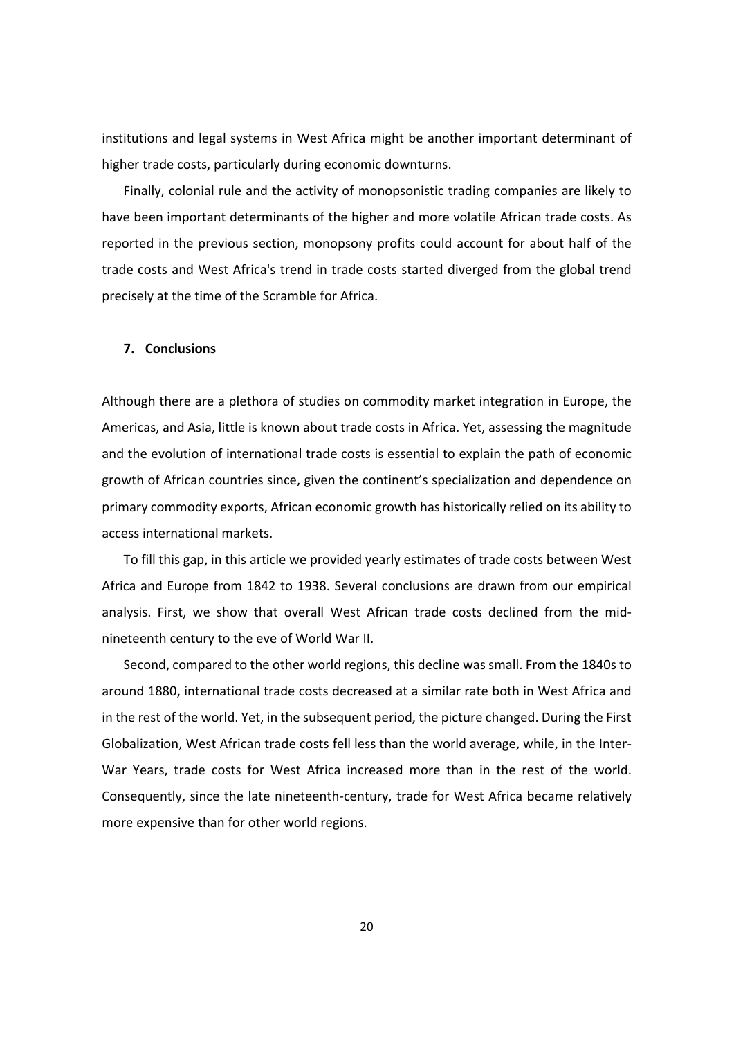institutions and legal systems in West Africa might be another important determinant of higher trade costs, particularly during economic downturns.

Finally, colonial rule and the activity of monopsonistic trading companies are likely to have been important determinants of the higher and more volatile African trade costs. As reported in the previous section, monopsony profits could account for about half of the trade costs and West Africa's trend in trade costs started diverged from the global trend precisely at the time of the Scramble for Africa.

## **7. Conclusions**

Although there are a plethora of studies on commodity market integration in Europe, the Americas, and Asia, little is known about trade costs in Africa. Yet, assessing the magnitude and the evolution of international trade costs is essential to explain the path of economic growth of African countries since, given the continent's specialization and dependence on primary commodity exports, African economic growth has historically relied on its ability to access international markets.

To fill this gap, in this article we provided yearly estimates of trade costs between West Africa and Europe from 1842 to 1938. Several conclusions are drawn from our empirical analysis. First, we show that overall West African trade costs declined from the mid‐ nineteenth century to the eve of World War II.

Second, compared to the other world regions, this decline was small. From the 1840s to around 1880, international trade costs decreased at a similar rate both in West Africa and in the rest of the world. Yet, in the subsequent period, the picture changed. During the First Globalization, West African trade costs fell less than the world average, while, in the Inter‐ War Years, trade costs for West Africa increased more than in the rest of the world. Consequently, since the late nineteenth‐century, trade for West Africa became relatively more expensive than for other world regions.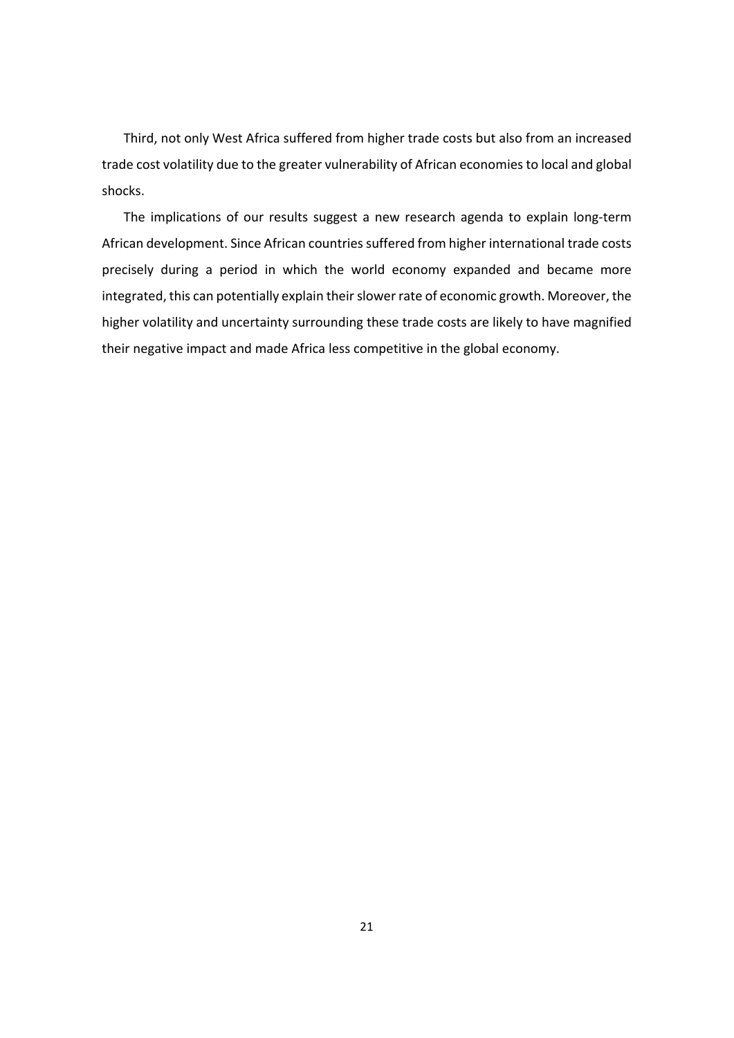Third, not only West Africa suffered from higher trade costs but also from an increased trade cost volatility due to the greater vulnerability of African economiesto local and global shocks.

The implications of our results suggest a new research agenda to explain long‐term African development. Since African countries suffered from higher international trade costs precisely during a period in which the world economy expanded and became more integrated, this can potentially explain their slower rate of economic growth. Moreover, the higher volatility and uncertainty surrounding these trade costs are likely to have magnified their negative impact and made Africa less competitive in the global economy.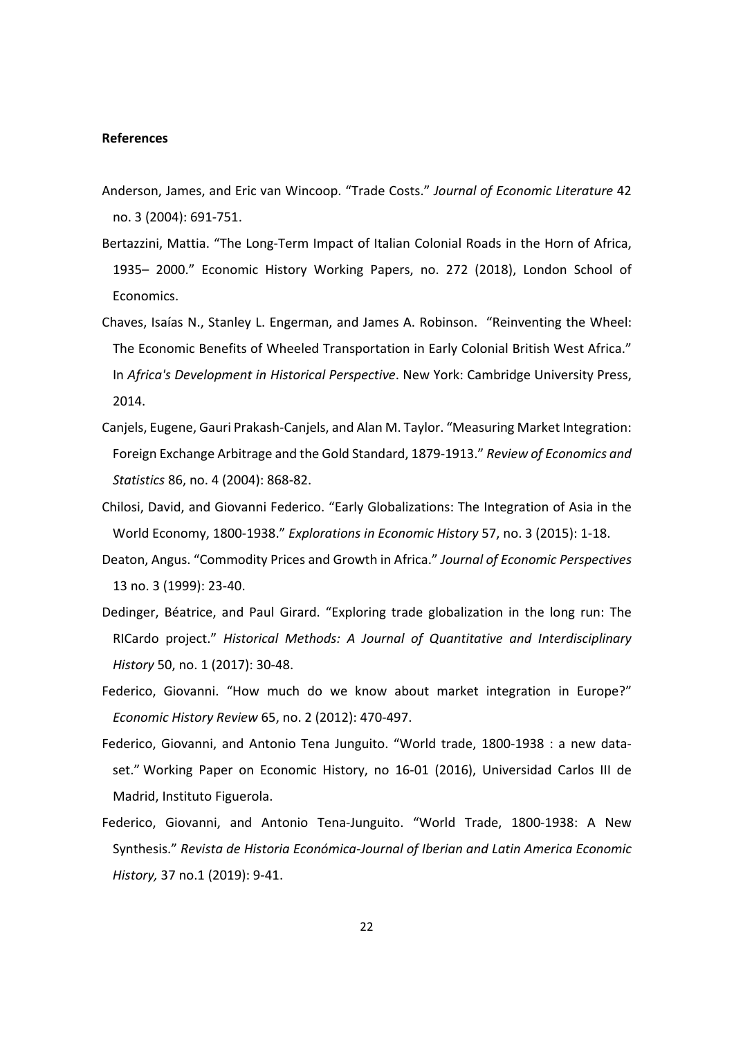#### **References**

- Anderson, James, and Eric van Wincoop. "Trade Costs." *Journal of Economic Literature* 42 no. 3 (2004): 691‐751.
- Bertazzini, Mattia. "The Long‐Term Impact of Italian Colonial Roads in the Horn of Africa, 1935– 2000." Economic History Working Papers, no. 272 (2018), London School of Economics.
- Chaves, Isaías N., Stanley L. Engerman, and James A. Robinson. "Reinventing the Wheel: The Economic Benefits of Wheeled Transportation in Early Colonial British West Africa." In *Africa's Development in Historical Perspective*. New York: Cambridge University Press, 2014.
- Canjels, Eugene, Gauri Prakash‐Canjels, and Alan M. Taylor. "Measuring Market Integration: Foreign Exchange Arbitrage and the Gold Standard, 1879‐1913." *Review of Economics and Statistics* 86, no. 4 (2004): 868‐82.
- Chilosi, David, and Giovanni Federico. "Early Globalizations: The Integration of Asia in the World Economy, 1800‐1938." *Explorations in Economic History* 57, no. 3 (2015): 1‐18.
- Deaton, Angus. "Commodity Prices and Growth in Africa." *Journal of Economic Perspectives* 13 no. 3 (1999): 23‐40.
- Dedinger, Béatrice, and Paul Girard. "Exploring trade globalization in the long run: The RICardo project." *Historical Methods: A Journal of Quantitative and Interdisciplinary History* 50, no. 1 (2017): 30‐48.
- Federico, Giovanni. "How much do we know about market integration in Europe?" *Economic History Review* 65, no. 2 (2012): 470‐497.
- Federico, Giovanni, and Antonio Tena Junguito. "World trade, 1800-1938 : a new dataset." Working Paper on Economic History, no 16‐01 (2016), Universidad Carlos III de Madrid, Instituto Figuerola.
- Federico, Giovanni, and Antonio Tena-Junguito. "World Trade, 1800-1938: A New Synthesis." *Revista de Historia Económica‐Journal of Iberian and Latin America Economic History,* 37 no.1 (2019): 9‐41.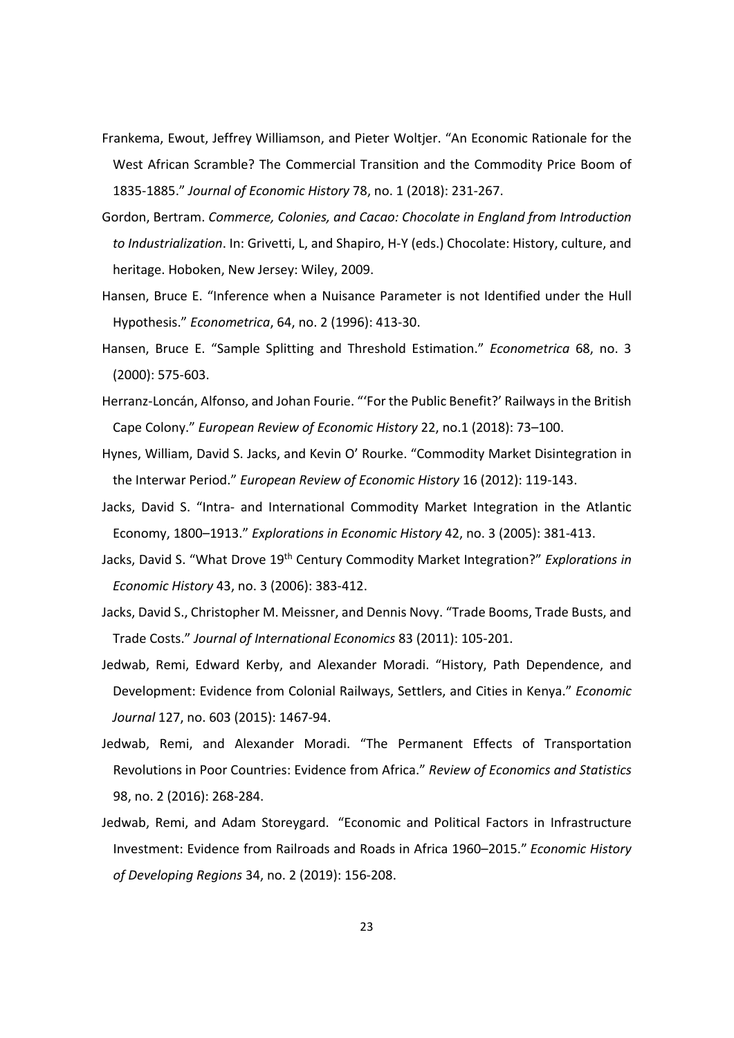- Frankema, Ewout, Jeffrey Williamson, and Pieter Woltjer. "An Economic Rationale for the West African Scramble? The Commercial Transition and the Commodity Price Boom of 1835‐1885." *Journal of Economic History* 78, no. 1 (2018): 231‐267.
- Gordon, Bertram. *Commerce, Colonies, and Cacao: Chocolate in England from Introduction to Industrialization*. In: Grivetti, L, and Shapiro, H‐Y (eds.) Chocolate: History, culture, and heritage. Hoboken, New Jersey: Wiley, 2009.
- Hansen, Bruce E. "Inference when a Nuisance Parameter is not Identified under the Hull Hypothesis." *Econometrica*, 64, no. 2 (1996): 413‐30.
- Hansen, Bruce E. "Sample Splitting and Threshold Estimation." *Econometrica* 68, no. 3 (2000): 575‐603.
- Herranz-Loncán, Alfonso, and Johan Fourie. "'For the Public Benefit?' Railways in the British Cape Colony." *European Review of Economic History* 22, no.1 (2018): 73–100.
- Hynes, William, David S. Jacks, and Kevin O' Rourke. "Commodity Market Disintegration in the Interwar Period." *European Review of Economic History* 16 (2012): 119‐143.
- Jacks, David S. "Intra‐ and International Commodity Market Integration in the Atlantic Economy, 1800–1913." *Explorations in Economic History* 42, no. 3 (2005): 381‐413.
- Jacks, David S. "What Drove 19th Century Commodity Market Integration?" *Explorations in Economic History* 43, no. 3 (2006): 383‐412.
- Jacks, David S., Christopher M. Meissner, and Dennis Novy. "Trade Booms, Trade Busts, and Trade Costs." *Journal of International Economics* 83 (2011): 105‐201.
- Jedwab, Remi, Edward Kerby, and Alexander Moradi. "History, Path Dependence, and Development: Evidence from Colonial Railways, Settlers, and Cities in Kenya." *Economic Journal* 127, no. 603 (2015): 1467‐94.
- Jedwab, Remi, and Alexander Moradi. "The Permanent Effects of Transportation Revolutions in Poor Countries: Evidence from Africa." *Review of Economics and Statistics* 98, no. 2 (2016): 268‐284.
- Jedwab, Remi, and Adam Storeygard. "Economic and Political Factors in Infrastructure Investment: Evidence from Railroads and Roads in Africa 1960–2015." *Economic History of Developing Regions* 34, no. 2 (2019): 156‐208.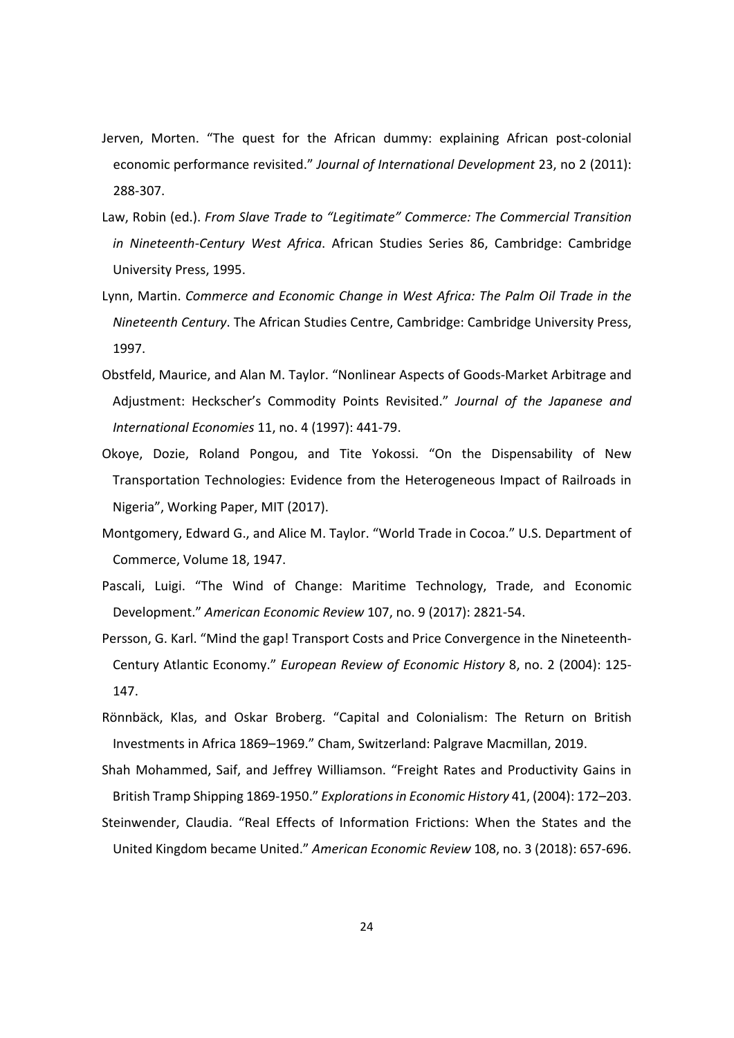- Jerven, Morten. "The quest for the African dummy: explaining African post-colonial economic performance revisited." *Journal of International Development* 23, no 2 (2011): 288‐307.
- Law, Robin (ed.). *From Slave Trade to "Legitimate" Commerce: The Commercial Transition in Nineteenth‐Century West Africa*. African Studies Series 86, Cambridge: Cambridge University Press, 1995.
- Lynn, Martin. *Commerce and Economic Change in West Africa: The Palm Oil Trade in the Nineteenth Century*. The African Studies Centre, Cambridge: Cambridge University Press, 1997.
- Obstfeld, Maurice, and Alan M. Taylor. "Nonlinear Aspects of Goods‐Market Arbitrage and Adjustment: Heckscher's Commodity Points Revisited." *Journal of the Japanese and International Economies* 11, no. 4 (1997): 441‐79.
- Okoye, Dozie, Roland Pongou, and Tite Yokossi. "On the Dispensability of New Transportation Technologies: Evidence from the Heterogeneous Impact of Railroads in Nigeria", Working Paper, MIT (2017).
- Montgomery, Edward G., and Alice M. Taylor. "World Trade in Cocoa." U.S. Department of Commerce, Volume 18, 1947.
- Pascali, Luigi. "The Wind of Change: Maritime Technology, Trade, and Economic Development." *American Economic Review* 107, no. 9 (2017): 2821‐54.
- Persson, G. Karl. "Mind the gap! Transport Costs and Price Convergence in the Nineteenth‐ Century Atlantic Economy." *European Review of Economic History* 8, no. 2 (2004): 125‐ 147.
- Rönnbäck, Klas, and Oskar Broberg. "Capital and Colonialism: The Return on British Investments in Africa 1869–1969." Cham, Switzerland: Palgrave Macmillan, 2019.
- Shah Mohammed, Saif, and Jeffrey Williamson. "Freight Rates and Productivity Gains in British Tramp Shipping 1869‐1950." *Explorationsin Economic History* 41, (2004): 172–203.
- Steinwender, Claudia. "Real Effects of Information Frictions: When the States and the United Kingdom became United." *American Economic Review* 108, no. 3 (2018): 657‐696.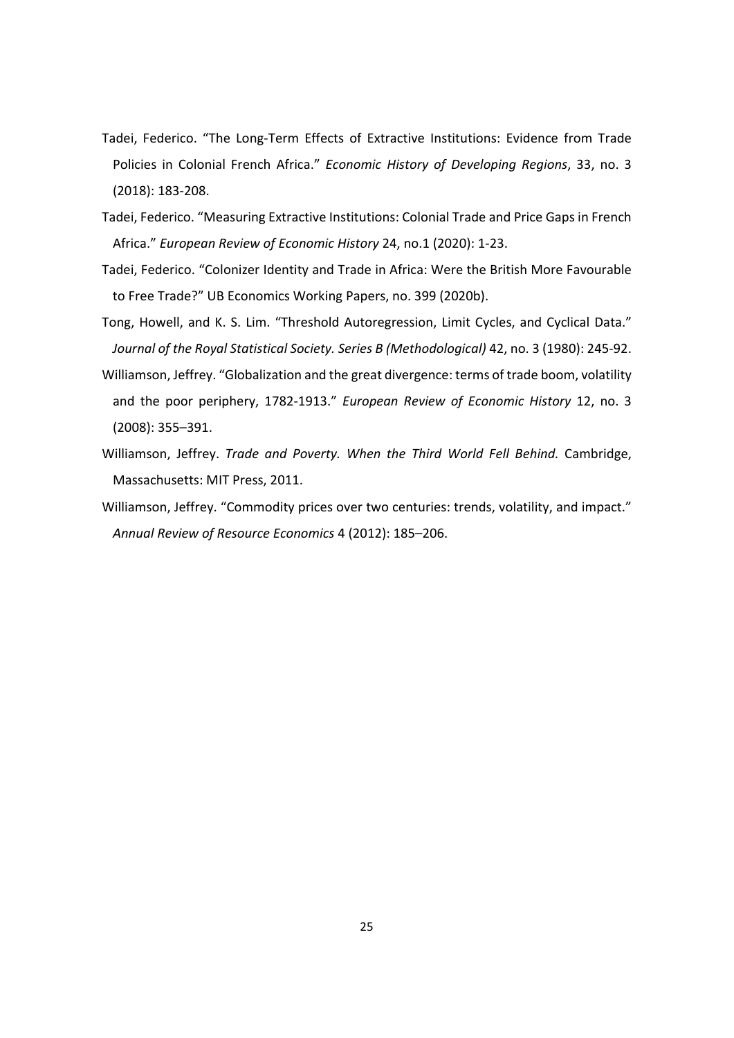- Tadei, Federico. "The Long‐Term Effects of Extractive Institutions: Evidence from Trade Policies in Colonial French Africa." *Economic History of Developing Regions*, 33, no. 3 (2018): 183‐208.
- Tadei, Federico. "Measuring Extractive Institutions: Colonial Trade and Price Gaps in French Africa." *European Review of Economic History* 24, no.1 (2020): 1‐23.
- Tadei, Federico. "Colonizer Identity and Trade in Africa: Were the British More Favourable to Free Trade?" UB Economics Working Papers, no. 399 (2020b).
- Tong, Howell, and K. S. Lim. "Threshold Autoregression, Limit Cycles, and Cyclical Data." *Journal of the Royal Statistical Society. Series B (Methodological)* 42, no. 3 (1980): 245‐92.
- Williamson, Jeffrey. "Globalization and the great divergence: terms of trade boom, volatility and the poor periphery, 1782‐1913." *European Review of Economic History* 12, no. 3 (2008): 355–391.
- Williamson, Jeffrey. *Trade and Poverty. When the Third World Fell Behind.* Cambridge, Massachusetts: MIT Press, 2011.
- Williamson, Jeffrey. "Commodity prices over two centuries: trends, volatility, and impact." *Annual Review of Resource Economics* 4 (2012): 185–206.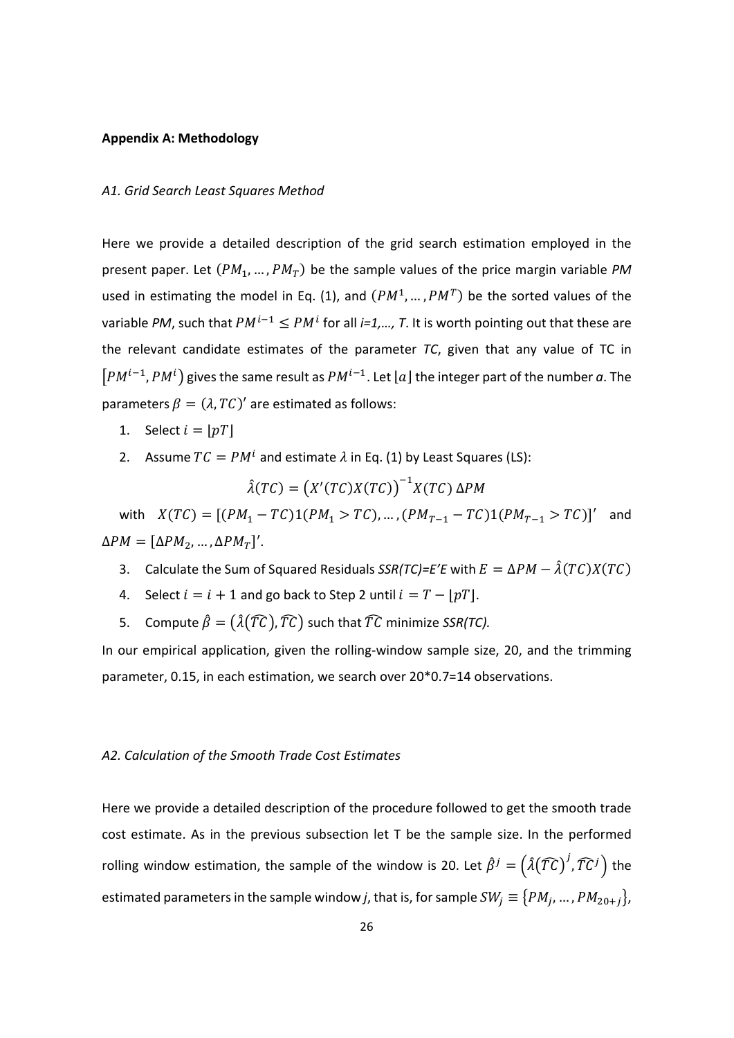#### **Appendix A: Methodology**

#### *A1. Grid Search Least Squares Method*

Here we provide a detailed description of the grid search estimation employed in the present paper. Let  $(PM_1, ..., PM_T)$  be the sample values of the price margin variable *PM* used in estimating the model in Eq. (1), and  $(PM^1, ..., PM^T)$  be the sorted values of the variable *PM*, such that  $PM^{i-1} \le PM^i$  for all *i=1,..., T*. It is worth pointing out that these are the relevant candidate estimates of the parameter *TC*, given that any value of TC in  $[PM^{i-1},PM^i)$  gives the same result as  $PM^{i-1}$ . Let  $[a]$  the integer part of the number  $a$ . The parameters  $\beta = (\lambda, TC)'$  are estimated as follows:

- 1. Select  $i = |pT|$
- 2. Assume  $TC = PM^i$  and estimate  $\lambda$  in Eq. (1) by Least Squares (LS):

$$
\hat{\lambda}(TC) = (X'(TC)X(TC))^{-1}X(TC) \Delta PM
$$

with  $X(TC) = [(PM_1 - TC)1(PM_1 > TC), ..., (PM_{T-1} - TC)1(PM_{T-1} > TC)]'$  and  $\Delta PM = [\Delta PM_2, ..., \Delta PM_T]'$ .

- 3. Calculate the Sum of Squared Residuals  $SSR(TC)=E'E$  with  $E = \Delta PM \hat{\lambda}(TC)X(TC)$
- 4. Select  $i = i + 1$  and go back to Step 2 until  $i = T [pT]$ .
- 5. Compute  $\hat{\beta} = (\hat{\lambda}(T\hat{\mathcal{C}}), \hat{T}\hat{\mathcal{C}})$  such that  $\hat{\mathcal{T}}\hat{\mathcal{C}}$  minimize *SSR(TC).*

In our empirical application, given the rolling‐window sample size, 20, and the trimming parameter, 0.15, in each estimation, we search over 20\*0.7=14 observations.

### *A2. Calculation of the Smooth Trade Cost Estimates*

Here we provide a detailed description of the procedure followed to get the smooth trade cost estimate. As in the previous subsection let T be the sample size. In the performed rolling window estimation, the sample of the window is 20. Let  $\hat{\beta}^j = (\hat{\lambda}(\widehat{T}\widehat{C})^j, \widehat{T}\widehat{C}^j)$  the estimated parameters in the sample window *j*, that is, for sample  $SW_i \equiv \{PM_i, ..., PM_{20+i}\},$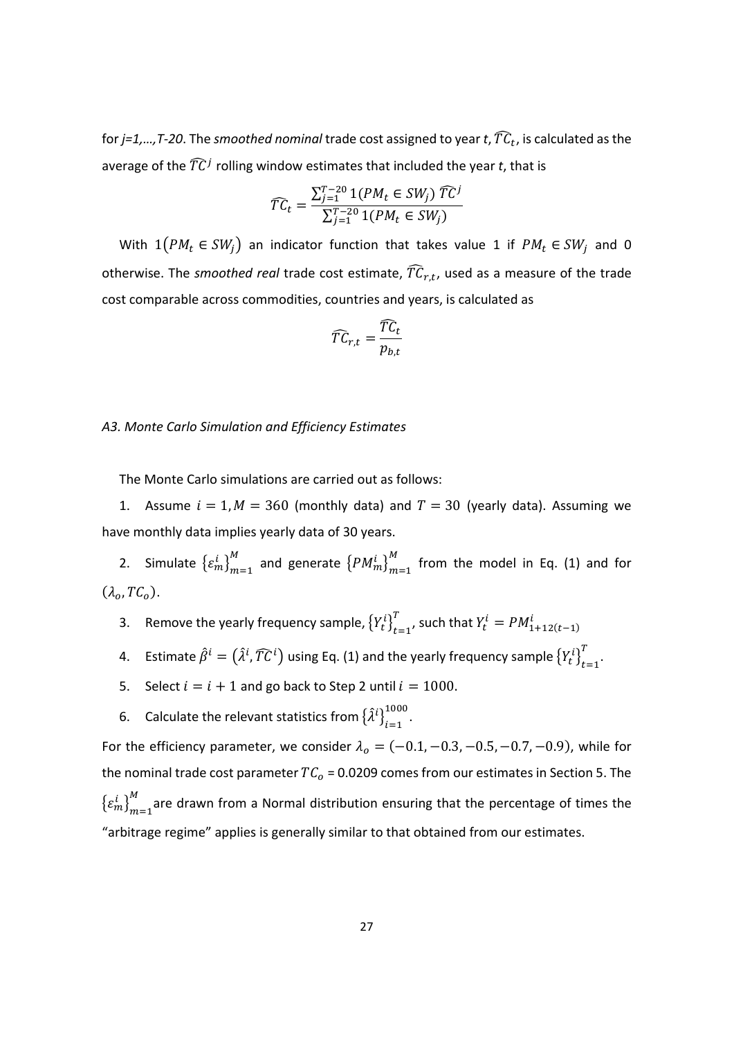for  $j=1,...,T-20$ . The *smoothed nominal* trade cost assigned to year *t*,  $\widehat{TC}_t$ , is calculated as the average of the  $\widehat{T}C^{j}$  rolling window estimates that included the year *t*, that is

$$
\widehat{TC}_t = \frac{\sum_{j=1}^{T-20} 1(PM_t \in SW_j) \widehat{TC}^j}{\sum_{j=1}^{T-20} 1(PM_t \in SW_j)}
$$

With  $1(PM_t \in SW_j)$  an indicator function that takes value 1 if  $PM_t \in SW_j$  and 0 otherwise. The *smoothed real* trade cost estimate,  $\widehat{TC}_{r,t}$ , used as a measure of the trade cost comparable across commodities, countries and years, is calculated as

$$
\widehat{T C}_{r,t} = \frac{\widehat{T C}_t}{p_{b,t}}
$$

### *A3. Monte Carlo Simulation and Efficiency Estimates*

The Monte Carlo simulations are carried out as follows:

1. Assume  $i = 1, M = 360$  (monthly data) and  $T = 30$  (yearly data). Assuming we have monthly data implies yearly data of 30 years.

2. Simulate  $\left\{ \varepsilon_{m}^{i}\right\} _{m=1}^{M}$  and generate  $\left\{ PM_{m}^{i}\right\} _{m=1}^{M}$  from the model in Eq. (1) and for  $(\lambda_o, TC_o).$ 

- 3. Remove the yearly frequency sample,  ${Y_t^i}_{t=1}^T$ , such that  $Y_t^i = PM_{1+12(t-1)}^i$
- 4. Estimate  $\hat{\beta}^i = (\hat{\lambda}^i, \widehat{T}C^i)$  using Eq. (1) and the yearly frequency sample  $\{Y_t^i\}_{t=1}^T$ .
- 5. Select  $i = i + 1$  and go back to Step 2 until  $i = 1000$ .
- 6. Calculate the relevant statistics from  $\{\hat{\lambda}^i\}_{i=1}^{1000}$ .

For the efficiency parameter, we consider  $\lambda_0 = (-0.1, -0.3, -0.5, -0.7, -0.9)$ , while for the nominal trade cost parameter  $TC<sub>o</sub> = 0.0209$  comes from our estimates in Section 5. The  $\left\{\varepsilon_m^i\right\}_{m=1}^M$  $\frac{M}{m-1}$ are drawn from a Normal distribution ensuring that the percentage of times the "arbitrage regime" applies is generally similar to that obtained from our estimates.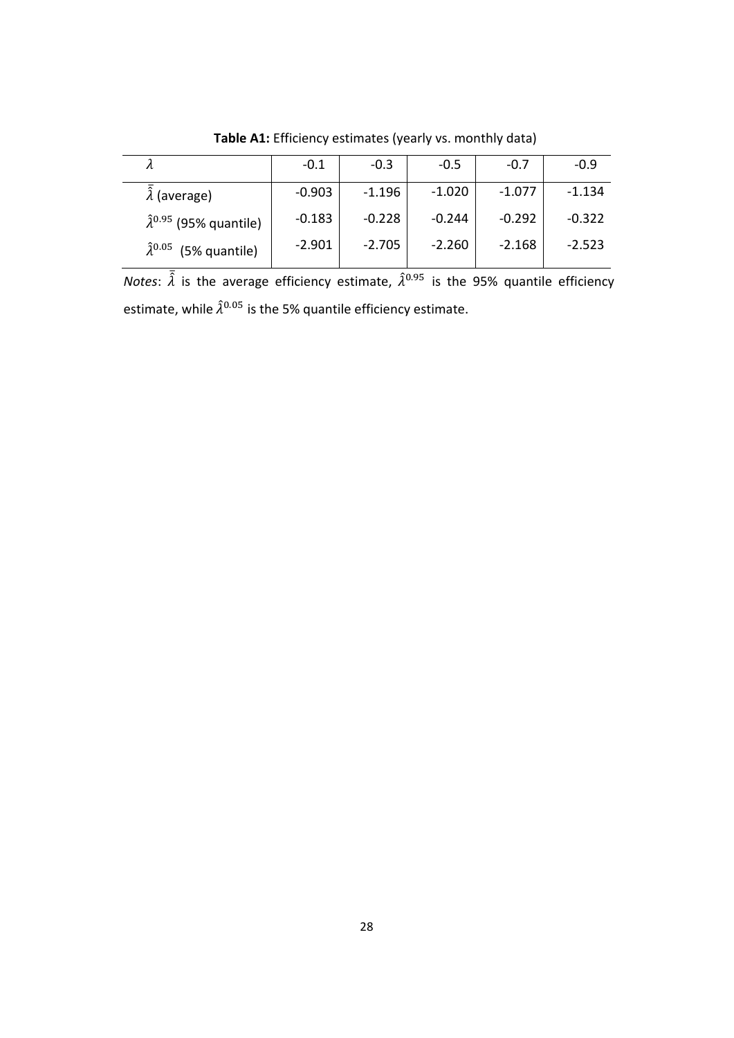|                                         | $-0.1$   | $-0.3$   | $-0.5$   | $-0.7$   | $-0.9$   |
|-----------------------------------------|----------|----------|----------|----------|----------|
| $\hat{\lambda}$ (average)               | $-0.903$ | $-1.196$ | $-1.020$ | $-1.077$ | $-1.134$ |
| $\hat{\lambda}^{0.95}$ (95% quantile)   | $-0.183$ | $-0.228$ | $-0.244$ | $-0.292$ | $-0.322$ |
| $\hat{\lambda}^{0.05}$<br>(5% quantile) | $-2.901$ | $-2.705$ | $-2.260$ | $-2.168$ | $-2.523$ |

**Table A1:** Efficiency estimates (yearly vs. monthly data)

*Notes*:  $\bar{\hat{\lambda}}$  is the average efficiency estimate,  $\hat{\lambda}^{0.95}$  is the 95% quantile efficiency estimate, while  $\hat{\lambda}^{0.05}$  is the 5% quantile efficiency estimate.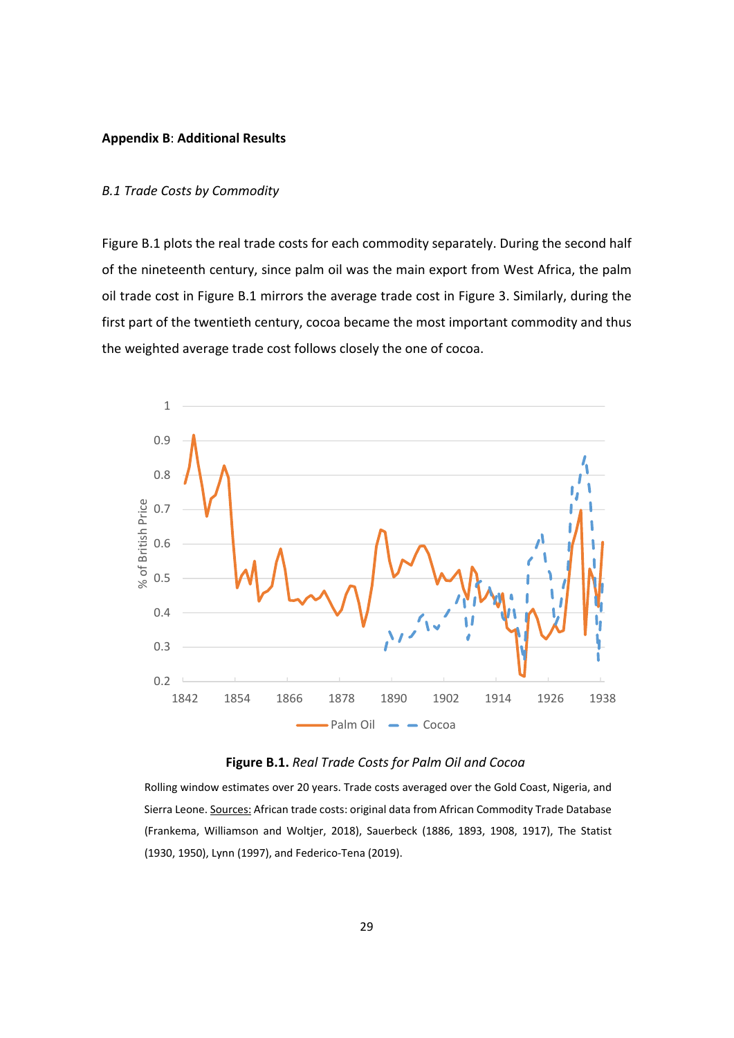#### **Appendix B**: **Additional Results**

### *B.1 Trade Costs by Commodity*

Figure B.1 plots the real trade costs for each commodity separately. During the second half of the nineteenth century, since palm oil was the main export from West Africa, the palm oil trade cost in Figure B.1 mirrors the average trade cost in Figure 3. Similarly, during the first part of the twentieth century, cocoa became the most important commodity and thus the weighted average trade cost follows closely the one of cocoa.





Rolling window estimates over 20 years. Trade costs averaged over the Gold Coast, Nigeria, and Sierra Leone. Sources: African trade costs: original data from African Commodity Trade Database (Frankema, Williamson and Woltjer, 2018), Sauerbeck (1886, 1893, 1908, 1917), The Statist (1930, 1950), Lynn (1997), and Federico‐Tena (2019).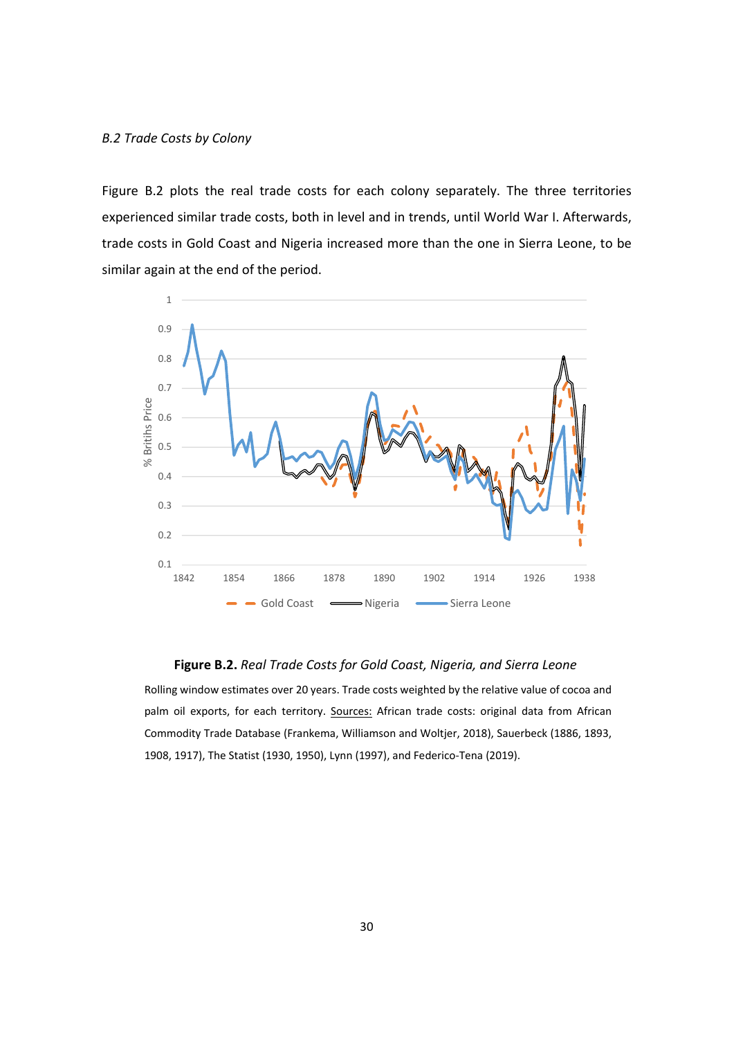Figure B.2 plots the real trade costs for each colony separately. The three territories experienced similar trade costs, both in level and in trends, until World War I. Afterwards, trade costs in Gold Coast and Nigeria increased more than the one in Sierra Leone, to be similar again at the end of the period.



## **Figure B.2.** *Real Trade Costs for Gold Coast, Nigeria, and Sierra Leone*

Rolling window estimates over 20 years. Trade costs weighted by the relative value of cocoa and palm oil exports, for each territory. Sources: African trade costs: original data from African Commodity Trade Database (Frankema, Williamson and Woltjer, 2018), Sauerbeck (1886, 1893, 1908, 1917), The Statist (1930, 1950), Lynn (1997), and Federico‐Tena (2019).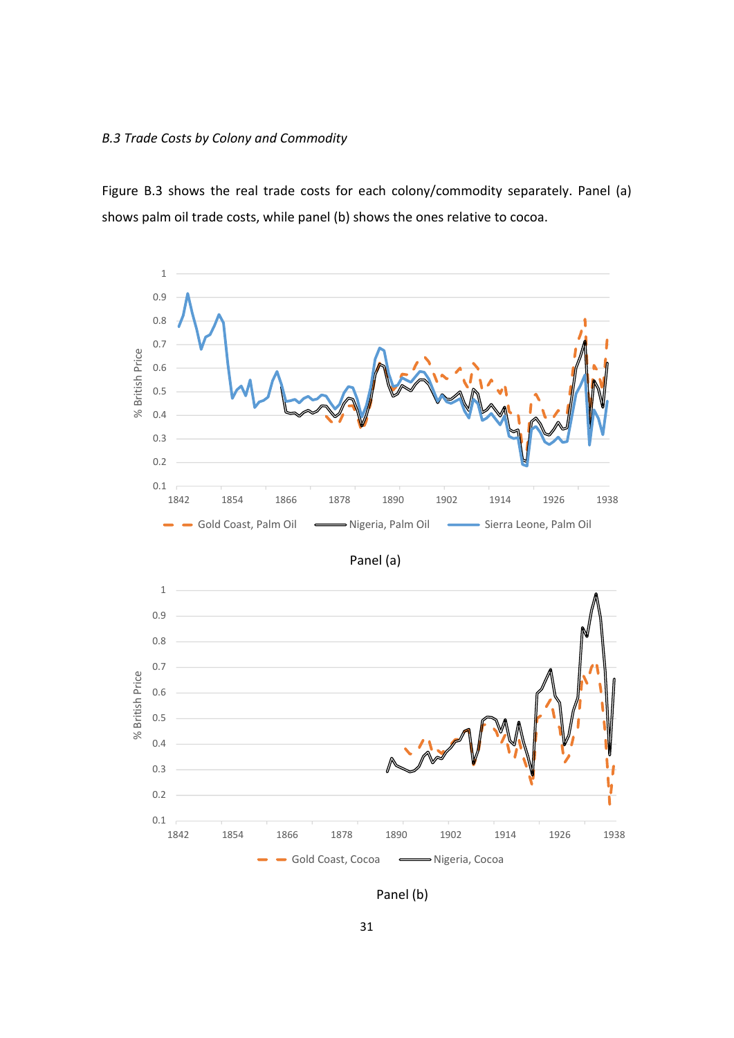## *B.3 Trade Costs by Colony and Commodity*

Figure B.3 shows the real trade costs for each colony/commodity separately. Panel (a) shows palm oil trade costs, while panel (b) shows the ones relative to cocoa.



Panel (b)